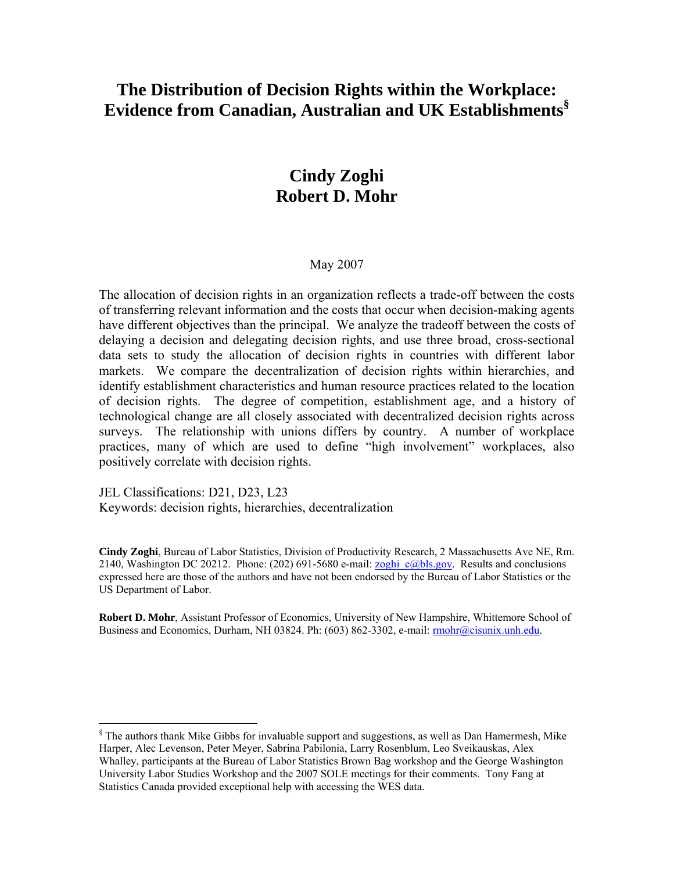## **The Distribution of Decision Rights within the Workplace: Evidence from Canadian, Australian and UK Establishment[s§](#page-0-0)**

## **Cindy Zoghi Robert D. Mohr**

#### May 2007

The allocation of decision rights in an organization reflects a trade-off between the costs of transferring relevant information and the costs that occur when decision-making agents have different objectives than the principal. We analyze the tradeoff between the costs of delaying a decision and delegating decision rights, and use three broad, cross-sectional data sets to study the allocation of decision rights in countries with different labor markets. We compare the decentralization of decision rights within hierarchies, and identify establishment characteristics and human resource practices related to the location of decision rights. The degree of competition, establishment age, and a history of technological change are all closely associated with decentralized decision rights across surveys. The relationship with unions differs by country. A number of workplace practices, many of which are used to define "high involvement" workplaces, also positively correlate with decision rights.

JEL Classifications: D21, D23, L23 Keywords: decision rights, hierarchies, decentralization

 $\overline{a}$ 

**Cindy Zoghi**, Bureau of Labor Statistics, Division of Productivity Research, 2 Massachusetts Ave NE, Rm. 2140, Washington DC 20212. Phone: (202) 691-5680 e-mail: zoghi  $c@b$ ls.gov. Results and conclusions expressed here are those of the authors and have not been endorsed by the Bureau of Labor Statistics or the US Department of Labor.

**Robert D. Mohr**, Assistant Professor of Economics, University of New Hampshire, Whittemore School of Business and Economics, Durham, NH 03824. Ph: (603) 862-3302, e-mail: [rmohr@cisunix.unh.edu](mailto:rmohr@cisunix.unh.edu).

<span id="page-0-0"></span> $\frac{1}{2}$  The authors thank Mike Gibbs for invaluable support and suggestions, as well as Dan Hamermesh, Mike Harper, Alec Levenson, Peter Meyer, Sabrina Pabilonia, Larry Rosenblum, Leo Sveikauskas, Alex Whalley, participants at the Bureau of Labor Statistics Brown Bag workshop and the George Washington University Labor Studies Workshop and the 2007 SOLE meetings for their comments. Tony Fang at Statistics Canada provided exceptional help with accessing the WES data.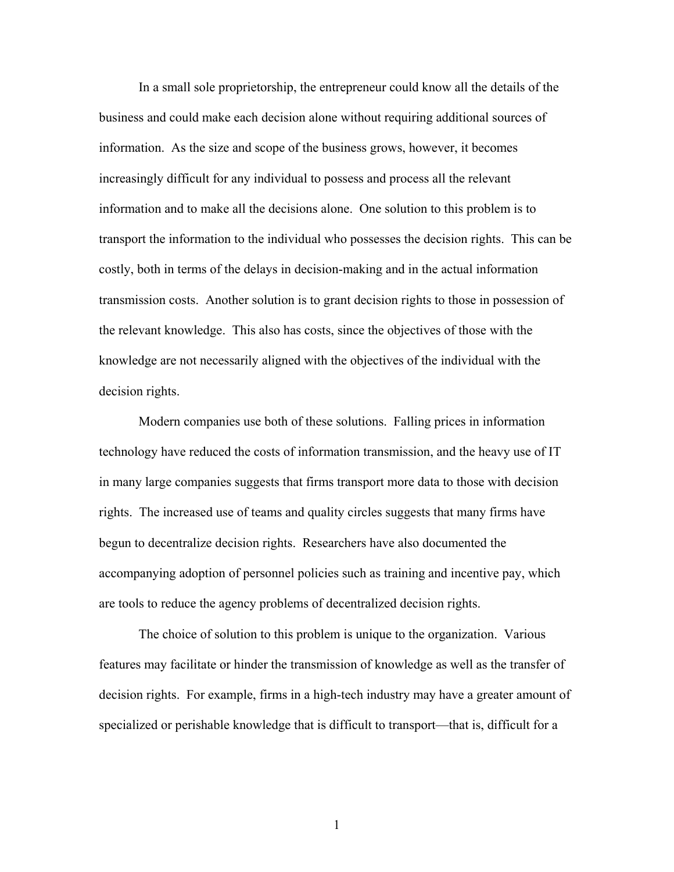In a small sole proprietorship, the entrepreneur could know all the details of the business and could make each decision alone without requiring additional sources of information. As the size and scope of the business grows, however, it becomes increasingly difficult for any individual to possess and process all the relevant information and to make all the decisions alone. One solution to this problem is to transport the information to the individual who possesses the decision rights. This can be costly, both in terms of the delays in decision-making and in the actual information transmission costs. Another solution is to grant decision rights to those in possession of the relevant knowledge. This also has costs, since the objectives of those with the knowledge are not necessarily aligned with the objectives of the individual with the decision rights.

Modern companies use both of these solutions. Falling prices in information technology have reduced the costs of information transmission, and the heavy use of IT in many large companies suggests that firms transport more data to those with decision rights. The increased use of teams and quality circles suggests that many firms have begun to decentralize decision rights. Researchers have also documented the accompanying adoption of personnel policies such as training and incentive pay, which are tools to reduce the agency problems of decentralized decision rights.

The choice of solution to this problem is unique to the organization. Various features may facilitate or hinder the transmission of knowledge as well as the transfer of decision rights. For example, firms in a high-tech industry may have a greater amount of specialized or perishable knowledge that is difficult to transport—that is, difficult for a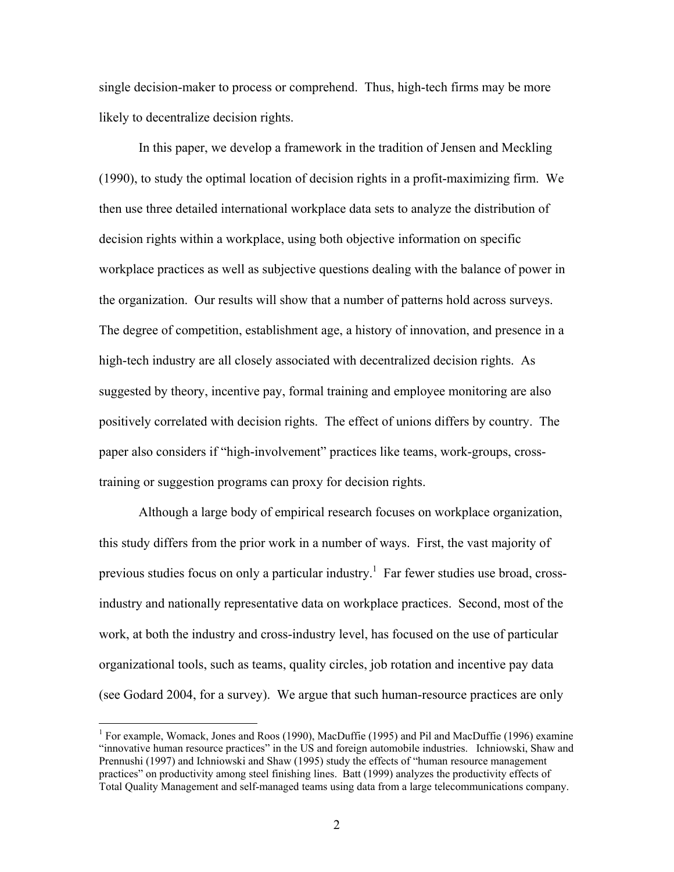single decision-maker to process or comprehend. Thus, high-tech firms may be more likely to decentralize decision rights.

In this paper, we develop a framework in the tradition of Jensen and Meckling (1990), to study the optimal location of decision rights in a profit-maximizing firm. We then use three detailed international workplace data sets to analyze the distribution of decision rights within a workplace, using both objective information on specific workplace practices as well as subjective questions dealing with the balance of power in the organization. Our results will show that a number of patterns hold across surveys. The degree of competition, establishment age, a history of innovation, and presence in a high-tech industry are all closely associated with decentralized decision rights. As suggested by theory, incentive pay, formal training and employee monitoring are also positively correlated with decision rights. The effect of unions differs by country. The paper also considers if "high-involvement" practices like teams, work-groups, crosstraining or suggestion programs can proxy for decision rights.

Although a large body of empirical research focuses on workplace organization, this study differs from the prior work in a number of ways. First, the vast majority of previous studies focus on only a particular industry.<sup>[1](#page-2-0)</sup> Far fewer studies use broad, crossindustry and nationally representative data on workplace practices. Second, most of the work, at both the industry and cross-industry level, has focused on the use of particular organizational tools, such as teams, quality circles, job rotation and incentive pay data (see Godard 2004, for a survey). We argue that such human-resource practices are only

<span id="page-2-0"></span><sup>&</sup>lt;sup>1</sup> For example, Womack, Jones and Roos (1990), MacDuffie (1995) and Pil and MacDuffie (1996) examine "innovative human resource practices" in the US and foreign automobile industries. Ichniowski, Shaw and Prennushi (1997) and Ichniowski and Shaw (1995) study the effects of "human resource management practices" on productivity among steel finishing lines. Batt (1999) analyzes the productivity effects of Total Quality Management and self-managed teams using data from a large telecommunications company.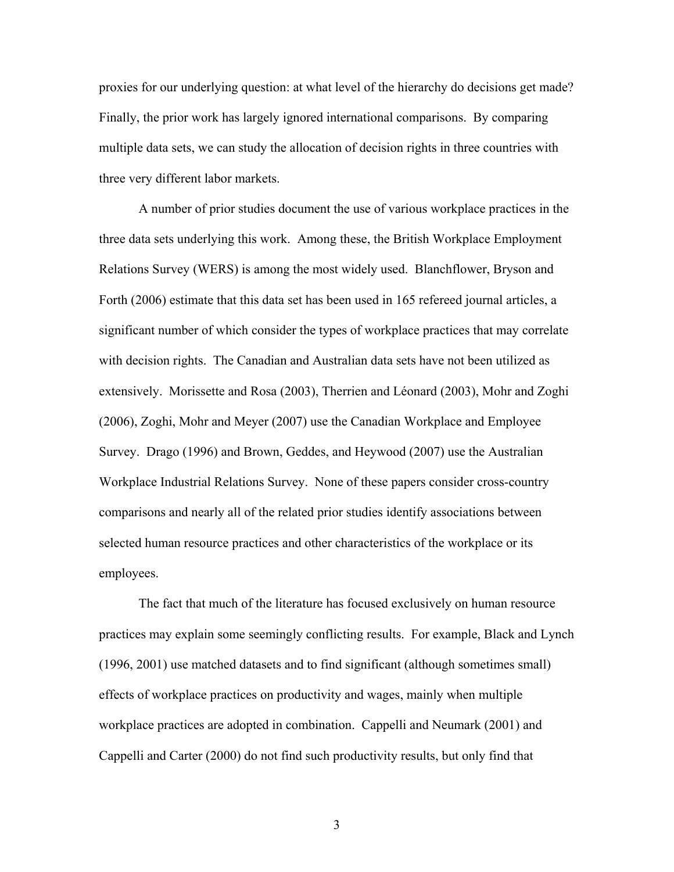proxies for our underlying question: at what level of the hierarchy do decisions get made? Finally, the prior work has largely ignored international comparisons. By comparing multiple data sets, we can study the allocation of decision rights in three countries with three very different labor markets.

A number of prior studies document the use of various workplace practices in the three data sets underlying this work. Among these, the British Workplace Employment Relations Survey (WERS) is among the most widely used. Blanchflower, Bryson and Forth (2006) estimate that this data set has been used in 165 refereed journal articles, a significant number of which consider the types of workplace practices that may correlate with decision rights. The Canadian and Australian data sets have not been utilized as extensively. Morissette and Rosa (2003), Therrien and Léonard (2003), Mohr and Zoghi (2006), Zoghi, Mohr and Meyer (2007) use the Canadian Workplace and Employee Survey. Drago (1996) and Brown, Geddes, and Heywood (2007) use the Australian Workplace Industrial Relations Survey. None of these papers consider cross-country comparisons and nearly all of the related prior studies identify associations between selected human resource practices and other characteristics of the workplace or its employees.

The fact that much of the literature has focused exclusively on human resource practices may explain some seemingly conflicting results. For example, Black and Lynch (1996, 2001) use matched datasets and to find significant (although sometimes small) effects of workplace practices on productivity and wages, mainly when multiple workplace practices are adopted in combination. Cappelli and Neumark (2001) and Cappelli and Carter (2000) do not find such productivity results, but only find that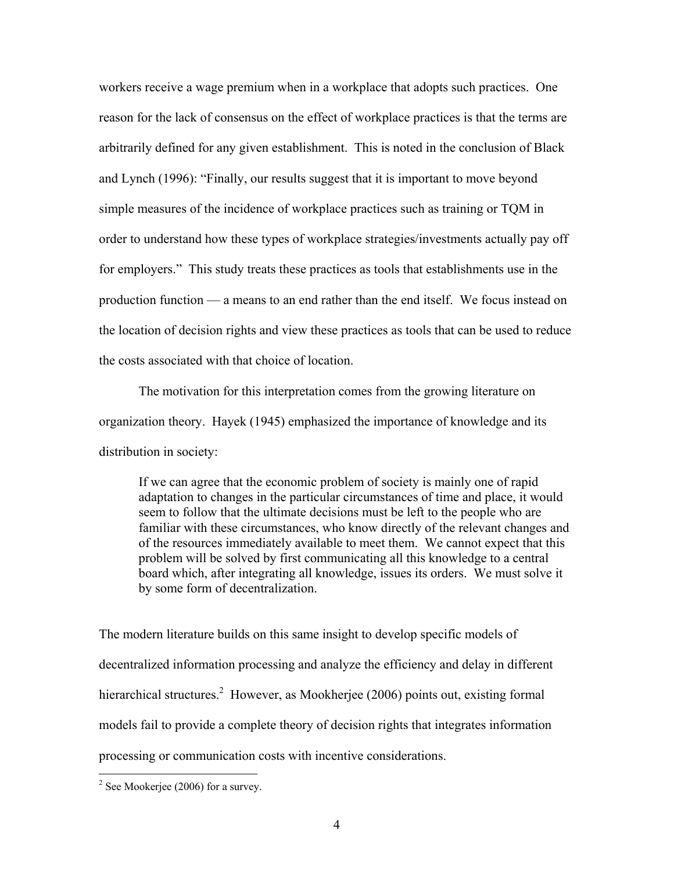workers receive a wage premium when in a workplace that adopts such practices. One reason for the lack of consensus on the effect of workplace practices is that the terms are arbitrarily defined for any given establishment. This is noted in the conclusion of Black and Lynch (1996): "Finally, our results suggest that it is important to move beyond simple measures of the incidence of workplace practices such as training or TQM in order to understand how these types of workplace strategies/investments actually pay off for employers." This study treats these practices as tools that establishments use in the production function — a means to an end rather than the end itself. We focus instead on the location of decision rights and view these practices as tools that can be used to reduce the costs associated with that choice of location.

The motivation for this interpretation comes from the growing literature on organization theory. Hayek (1945) emphasized the importance of knowledge and its distribution in society:

If we can agree that the economic problem of society is mainly one of rapid adaptation to changes in the particular circumstances of time and place, it would seem to follow that the ultimate decisions must be left to the people who are familiar with these circumstances, who know directly of the relevant changes and of the resources immediately available to meet them. We cannot expect that this problem will be solved by first communicating all this knowledge to a central board which, after integrating all knowledge, issues its orders. We must solve it by some form of decentralization.

The modern literature builds on this same insight to develop specific models of decentralized information processing and analyze the efficiency and delay in different hierarchical structures.<sup>2</sup> However, as Mookherjee (2006) points out, existing formal models fail to provide a complete theory of decision rights that integrates information processing or communication costs with incentive considerations.

<span id="page-4-0"></span><sup>&</sup>lt;sup>2</sup> See Mookerjee (2006) for a survey.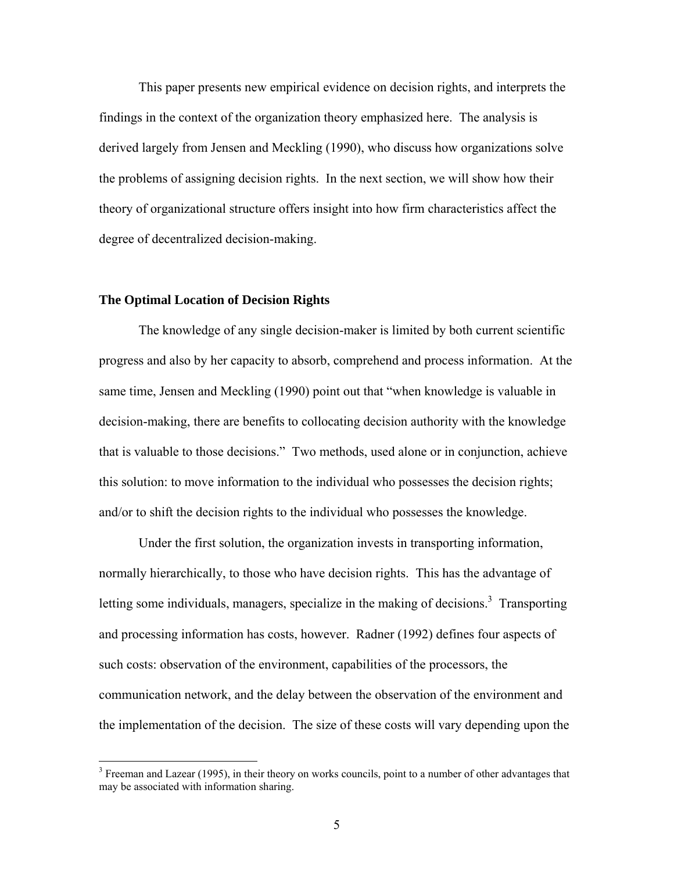This paper presents new empirical evidence on decision rights, and interprets the findings in the context of the organization theory emphasized here. The analysis is derived largely from Jensen and Meckling (1990), who discuss how organizations solve the problems of assigning decision rights. In the next section, we will show how their theory of organizational structure offers insight into how firm characteristics affect the degree of decentralized decision-making.

#### **The Optimal Location of Decision Rights**

1

The knowledge of any single decision-maker is limited by both current scientific progress and also by her capacity to absorb, comprehend and process information. At the same time, Jensen and Meckling (1990) point out that "when knowledge is valuable in decision-making, there are benefits to collocating decision authority with the knowledge that is valuable to those decisions." Two methods, used alone or in conjunction, achieve this solution: to move information to the individual who possesses the decision rights; and/or to shift the decision rights to the individual who possesses the knowledge.

Under the first solution, the organization invests in transporting information, normally hierarchically, to those who have decision rights. This has the advantage of letting some individuals, managers, specialize in the making of decisions.<sup>[3](#page-5-0)</sup> Transporting and processing information has costs, however. Radner (1992) defines four aspects of such costs: observation of the environment, capabilities of the processors, the communication network, and the delay between the observation of the environment and the implementation of the decision. The size of these costs will vary depending upon the

<span id="page-5-0"></span><sup>&</sup>lt;sup>3</sup> Freeman and Lazear (1995), in their theory on works councils, point to a number of other advantages that may be associated with information sharing.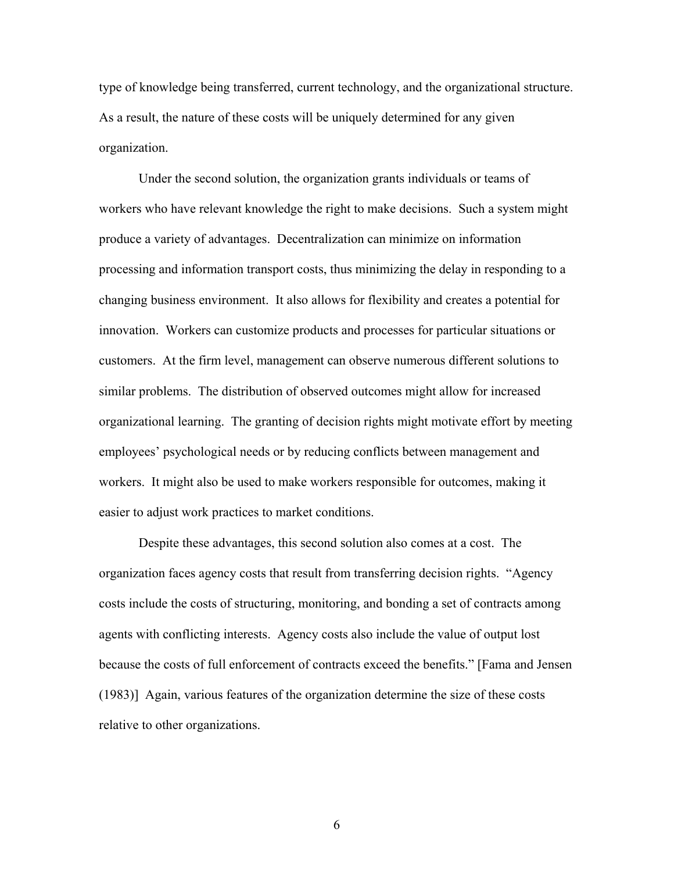type of knowledge being transferred, current technology, and the organizational structure. As a result, the nature of these costs will be uniquely determined for any given organization.

Under the second solution, the organization grants individuals or teams of workers who have relevant knowledge the right to make decisions. Such a system might produce a variety of advantages. Decentralization can minimize on information processing and information transport costs, thus minimizing the delay in responding to a changing business environment. It also allows for flexibility and creates a potential for innovation. Workers can customize products and processes for particular situations or customers. At the firm level, management can observe numerous different solutions to similar problems. The distribution of observed outcomes might allow for increased organizational learning. The granting of decision rights might motivate effort by meeting employees' psychological needs or by reducing conflicts between management and workers. It might also be used to make workers responsible for outcomes, making it easier to adjust work practices to market conditions.

Despite these advantages, this second solution also comes at a cost. The organization faces agency costs that result from transferring decision rights. "Agency costs include the costs of structuring, monitoring, and bonding a set of contracts among agents with conflicting interests. Agency costs also include the value of output lost because the costs of full enforcement of contracts exceed the benefits." [Fama and Jensen (1983)] Again, various features of the organization determine the size of these costs relative to other organizations.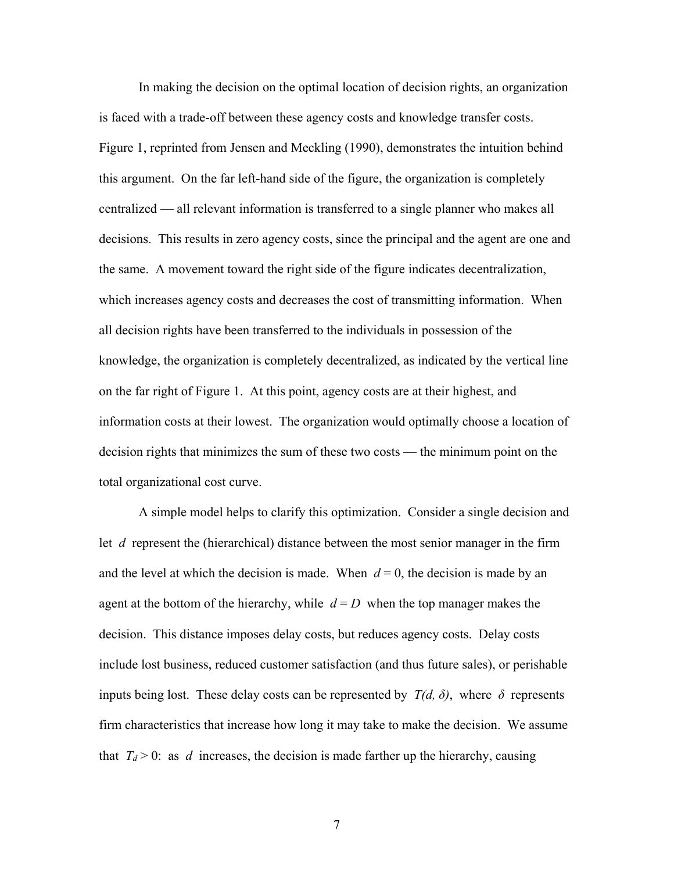In making the decision on the optimal location of decision rights, an organization is faced with a trade-off between these agency costs and knowledge transfer costs. Figure 1, reprinted from Jensen and Meckling (1990), demonstrates the intuition behind this argument. On the far left-hand side of the figure, the organization is completely centralized — all relevant information is transferred to a single planner who makes all decisions. This results in zero agency costs, since the principal and the agent are one and the same. A movement toward the right side of the figure indicates decentralization, which increases agency costs and decreases the cost of transmitting information. When all decision rights have been transferred to the individuals in possession of the knowledge, the organization is completely decentralized, as indicated by the vertical line on the far right of Figure 1. At this point, agency costs are at their highest, and information costs at their lowest. The organization would optimally choose a location of decision rights that minimizes the sum of these two costs — the minimum point on the total organizational cost curve.

A simple model helps to clarify this optimization. Consider a single decision and let *d* represent the (hierarchical) distance between the most senior manager in the firm and the level at which the decision is made. When  $d = 0$ , the decision is made by an agent at the bottom of the hierarchy, while  $d = D$  when the top manager makes the decision. This distance imposes delay costs, but reduces agency costs. Delay costs include lost business, reduced customer satisfaction (and thus future sales), or perishable inputs being lost. These delay costs can be represented by  $T(d, \delta)$ , where  $\delta$  represents firm characteristics that increase how long it may take to make the decision. We assume that  $T_d > 0$ : as *d* increases, the decision is made farther up the hierarchy, causing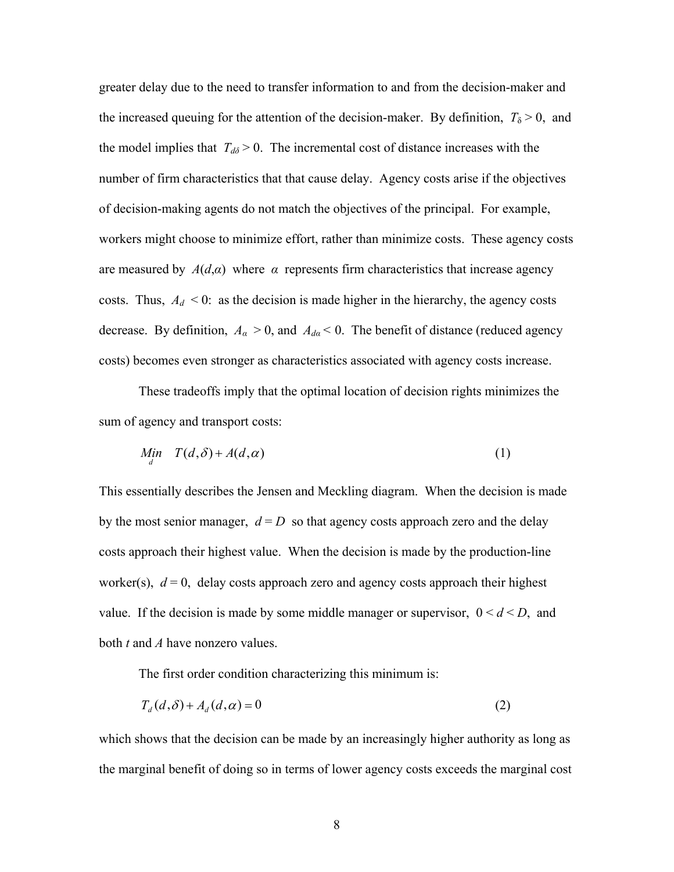greater delay due to the need to transfer information to and from the decision-maker and the increased queuing for the attention of the decision-maker. By definition,  $T_{\delta} > 0$ , and the model implies that  $T_{d\delta} > 0$ . The incremental cost of distance increases with the number of firm characteristics that that cause delay. Agency costs arise if the objectives of decision-making agents do not match the objectives of the principal. For example, workers might choose to minimize effort, rather than minimize costs. These agency costs are measured by  $A(d,\alpha)$  where  $\alpha$  represents firm characteristics that increase agency costs. Thus,  $A_d \leq 0$ : as the decision is made higher in the hierarchy, the agency costs decrease. By definition,  $A_\alpha > 0$ , and  $A_{d\alpha} < 0$ . The benefit of distance (reduced agency costs) becomes even stronger as characteristics associated with agency costs increase.

These tradeoffs imply that the optimal location of decision rights minimizes the sum of agency and transport costs:

$$
\lim_{d} T(d,\delta) + A(d,\alpha) \tag{1}
$$

This essentially describes the Jensen and Meckling diagram. When the decision is made by the most senior manager,  $d = D$  so that agency costs approach zero and the delay costs approach their highest value. When the decision is made by the production-line worker(s),  $d = 0$ , delay costs approach zero and agency costs approach their highest value. If the decision is made by some middle manager or supervisor,  $0 \le d \le D$ , and both *t* and *A* have nonzero values.

The first order condition characterizing this minimum is:

$$
T_d(d,\delta) + A_d(d,\alpha) = 0 \tag{2}
$$

which shows that the decision can be made by an increasingly higher authority as long as the marginal benefit of doing so in terms of lower agency costs exceeds the marginal cost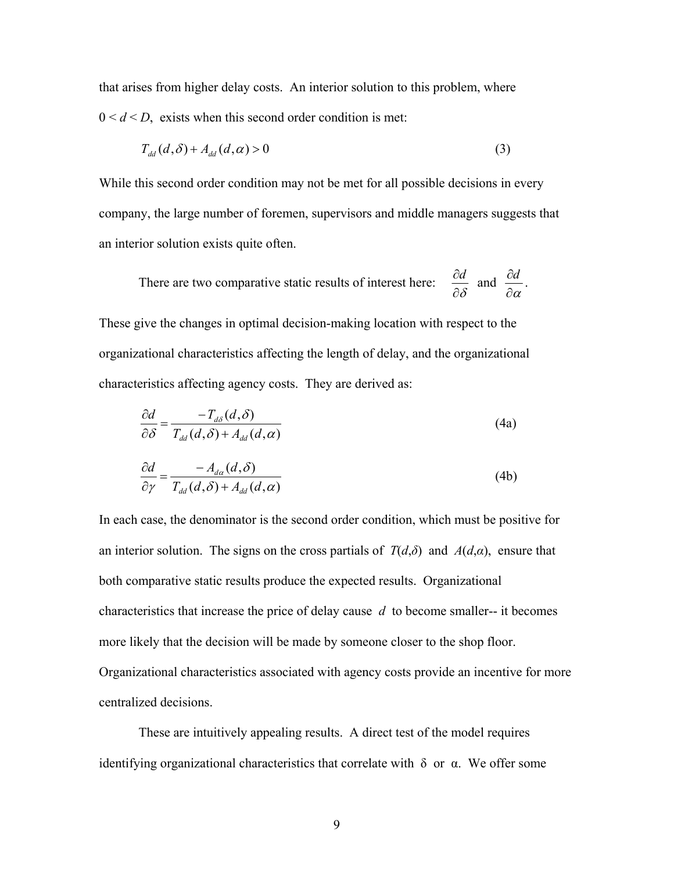that arises from higher delay costs. An interior solution to this problem, where  $0 < d < D$ , exists when this second order condition is met:

$$
T_{dd}(d,\delta) + A_{dd}(d,\alpha) > 0 \tag{3}
$$

While this second order condition may not be met for all possible decisions in every company, the large number of foremen, supervisors and middle managers suggests that an interior solution exists quite often.

There are two comparative static results of interest here:  $\partial\delta$  $\frac{\partial d}{\partial \theta}$  and ∂<sup>α</sup> <sup>∂</sup>*<sup>d</sup>* .

These give the changes in optimal decision-making location with respect to the organizational characteristics affecting the length of delay, and the organizational characteristics affecting agency costs. They are derived as:

$$
\frac{\partial d}{\partial \delta} = \frac{-T_{d\delta}(d,\delta)}{T_{dd}(d,\delta) + A_{dd}(d,\alpha)}\tag{4a}
$$

$$
\frac{\partial d}{\partial \gamma} = \frac{-A_{d\alpha}(d,\delta)}{T_{dd}(d,\delta) + A_{dd}(d,\alpha)}\tag{4b}
$$

In each case, the denominator is the second order condition, which must be positive for an interior solution. The signs on the cross partials of  $T(d,\delta)$  and  $A(d,\alpha)$ , ensure that both comparative static results produce the expected results. Organizational characteristics that increase the price of delay cause *d* to become smaller-- it becomes more likely that the decision will be made by someone closer to the shop floor. Organizational characteristics associated with agency costs provide an incentive for more centralized decisions.

These are intuitively appealing results. A direct test of the model requires identifying organizational characteristics that correlate with  $\delta$  or  $\alpha$ . We offer some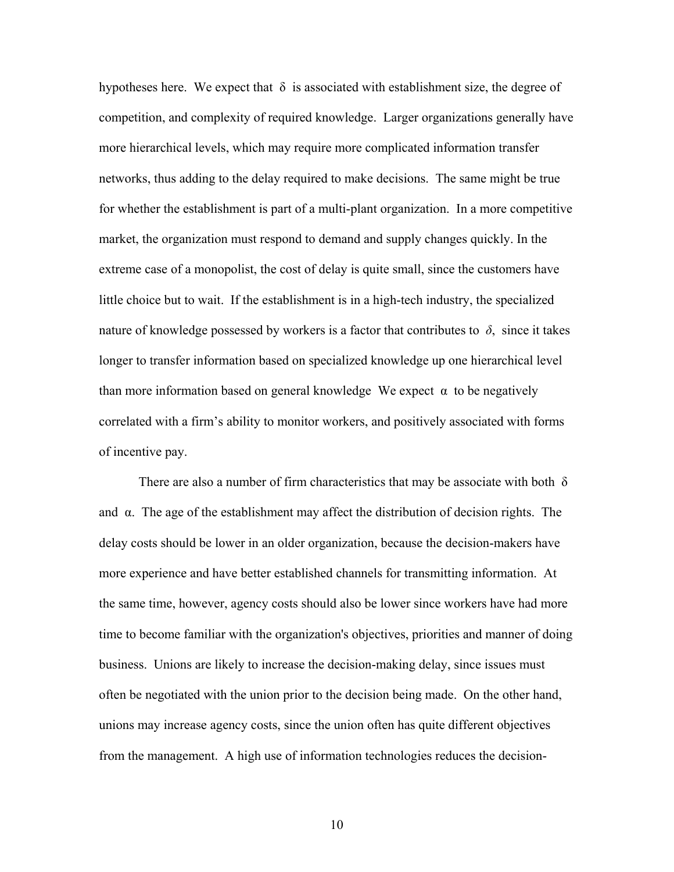hypotheses here. We expect that  $\delta$  is associated with establishment size, the degree of competition, and complexity of required knowledge. Larger organizations generally have more hierarchical levels, which may require more complicated information transfer networks, thus adding to the delay required to make decisions. The same might be true for whether the establishment is part of a multi-plant organization. In a more competitive market, the organization must respond to demand and supply changes quickly. In the extreme case of a monopolist, the cost of delay is quite small, since the customers have little choice but to wait. If the establishment is in a high-tech industry, the specialized nature of knowledge possessed by workers is a factor that contributes to  $\delta$ , since it takes longer to transfer information based on specialized knowledge up one hierarchical level than more information based on general knowledge. We expect  $\alpha$  to be negatively correlated with a firm's ability to monitor workers, and positively associated with forms of incentive pay.

There are also a number of firm characteristics that may be associate with both  $\delta$ and  $\alpha$ . The age of the establishment may affect the distribution of decision rights. The delay costs should be lower in an older organization, because the decision-makers have more experience and have better established channels for transmitting information. At the same time, however, agency costs should also be lower since workers have had more time to become familiar with the organization's objectives, priorities and manner of doing business. Unions are likely to increase the decision-making delay, since issues must often be negotiated with the union prior to the decision being made. On the other hand, unions may increase agency costs, since the union often has quite different objectives from the management. A high use of information technologies reduces the decision-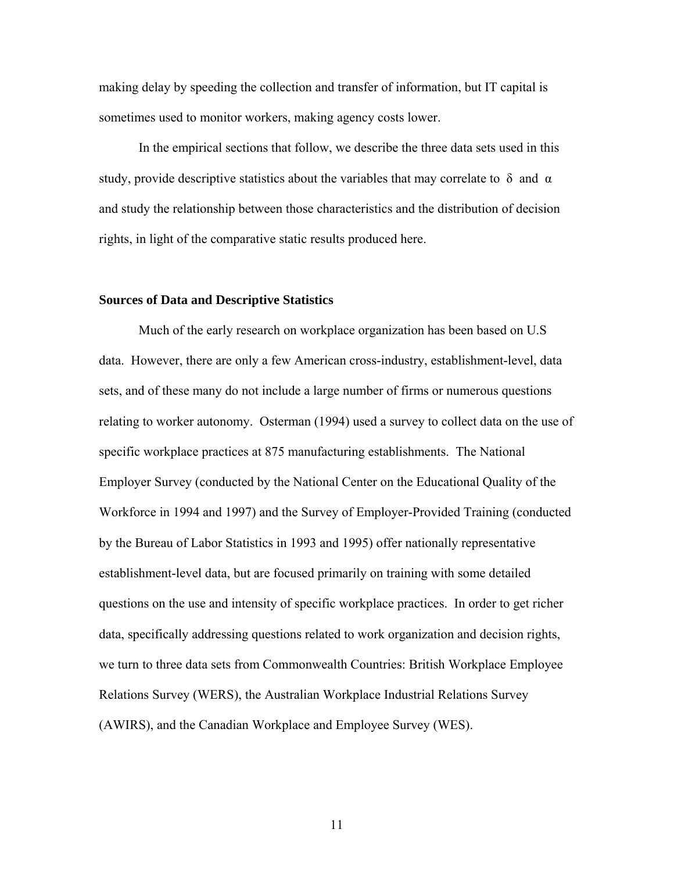making delay by speeding the collection and transfer of information, but IT capital is sometimes used to monitor workers, making agency costs lower.

In the empirical sections that follow, we describe the three data sets used in this study, provide descriptive statistics about the variables that may correlate to  $\delta$  and  $\alpha$ and study the relationship between those characteristics and the distribution of decision rights, in light of the comparative static results produced here.

#### **Sources of Data and Descriptive Statistics**

Much of the early research on workplace organization has been based on U.S data. However, there are only a few American cross-industry, establishment-level, data sets, and of these many do not include a large number of firms or numerous questions relating to worker autonomy. Osterman (1994) used a survey to collect data on the use of specific workplace practices at 875 manufacturing establishments. The National Employer Survey (conducted by the National Center on the Educational Quality of the Workforce in 1994 and 1997) and the Survey of Employer-Provided Training (conducted by the Bureau of Labor Statistics in 1993 and 1995) offer nationally representative establishment-level data, but are focused primarily on training with some detailed questions on the use and intensity of specific workplace practices. In order to get richer data, specifically addressing questions related to work organization and decision rights, we turn to three data sets from Commonwealth Countries: British Workplace Employee Relations Survey (WERS), the Australian Workplace Industrial Relations Survey (AWIRS), and the Canadian Workplace and Employee Survey (WES).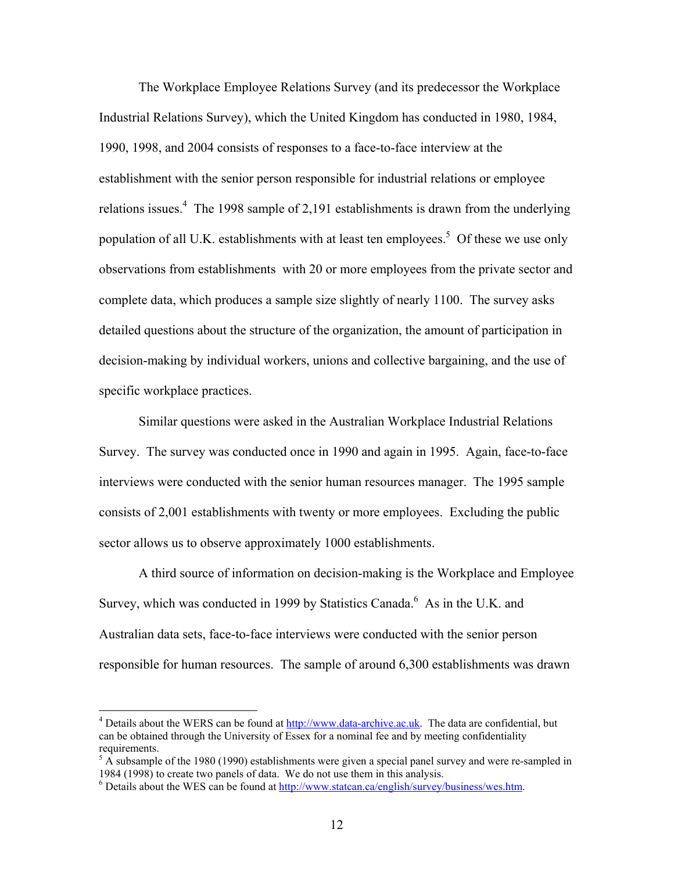The Workplace Employee Relations Survey (and its predecessor the Workplace Industrial Relations Survey), which the United Kingdom has conducted in 1980, 1984, 1990, 1998, and 2004 consists of responses to a face-to-face interview at the establishment with the senior person responsible for industrial relations or employee relations issues.<sup>4</sup> The 1998 sample of 2,191 establishments is drawn from the underlying population of all U.K. establishments with at least ten employees.<sup>5</sup> Of these we use only observations from establishments with 20 or more employees from the private sector and complete data, which produces a sample size slightly of nearly 1100. The survey asks detailed questions about the structure of the organization, the amount of participation in decision-making by individual workers, unions and collective bargaining, and the use of specific workplace practices.

Similar questions were asked in the Australian Workplace Industrial Relations Survey. The survey was conducted once in 1990 and again in 1995. Again, face-to-face interviews were conducted with the senior human resources manager. The 1995 sample consists of 2,001 establishments with twenty or more employees. Excluding the public sector allows us to observe approximately 1000 establishments.

A third source of information on decision-making is the Workplace and Employee Survey, which was conducted in 1999 by Statistics Canada.<sup>6</sup> As in the U.K. and Australian data sets, face-to-face interviews were conducted with the senior person responsible for human resources. The sample of around 6,300 establishments was drawn

<span id="page-12-0"></span> $\frac{1}{4}$ <sup>4</sup> Details about the WERS can be found at [http://www.data-archive.ac.uk](http://www.data-archive.ac.uk/). The data are confidential, but can be obtained through the University of Essex for a nominal fee and by meeting confidentiality requirements.

<span id="page-12-1"></span><sup>&</sup>lt;sup>5</sup> A subsample of the 1980 (1990) establishments were given a special panel survey and were re-sampled in <sup>1984</sup> (1998) to create two panels of data. We do not use them in this analysis. 6

<span id="page-12-2"></span> $6$  Details about the WES can be found at [http://www.statcan.ca/english/survey/business/wes.htm.](http://www.statcan.ca/english/survey/business/wes.htm)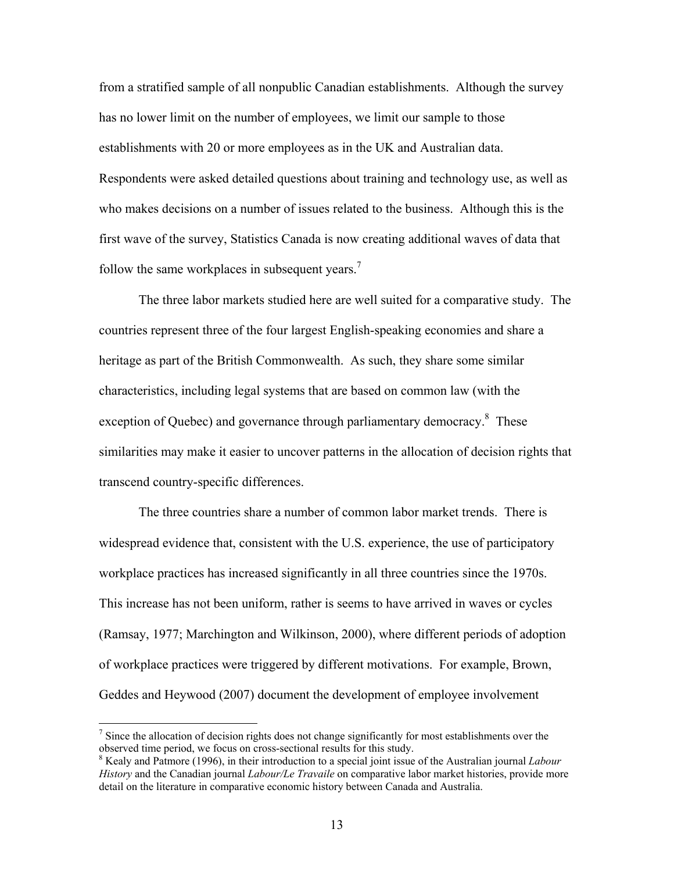from a stratified sample of all nonpublic Canadian establishments. Although the survey has no lower limit on the number of employees, we limit our sample to those establishments with 20 or more employees as in the UK and Australian data. Respondents were asked detailed questions about training and technology use, as well as who makes decisions on a number of issues related to the business. Although this is the first wave of the survey, Statistics Canada is now creating additional waves of data that follow the same workplaces in subsequent years.<sup>[7](#page-13-0)</sup>

The three labor markets studied here are well suited for a comparative study. The countries represent three of the four largest English-speaking economies and share a heritage as part of the British Commonwealth. As such, they share some similar characteristics, including legal systems that are based on common law (with the exception of Quebec) and governance through parliamentary democracy.<sup>[8](#page-13-1)</sup> These similarities may make it easier to uncover patterns in the allocation of decision rights that transcend country-specific differences.

The three countries share a number of common labor market trends. There is widespread evidence that, consistent with the U.S. experience, the use of participatory workplace practices has increased significantly in all three countries since the 1970s. This increase has not been uniform, rather is seems to have arrived in waves or cycles (Ramsay, 1977; Marchington and Wilkinson, 2000), where different periods of adoption of workplace practices were triggered by different motivations. For example, Brown, Geddes and Heywood (2007) document the development of employee involvement

<span id="page-13-0"></span><sup>-&</sup>lt;br>7  $\frac{1}{3}$  Since the allocation of decision rights does not change significantly for most establishments over the observed time period, we focus on cross-sectional results for this study. 8

<span id="page-13-1"></span><sup>&</sup>lt;sup>8</sup> Kealy and Patmore (1996), in their introduction to a special joint issue of the Australian journal *Labour History* and the Canadian journal *Labour/Le Travaile* on comparative labor market histories, provide more detail on the literature in comparative economic history between Canada and Australia.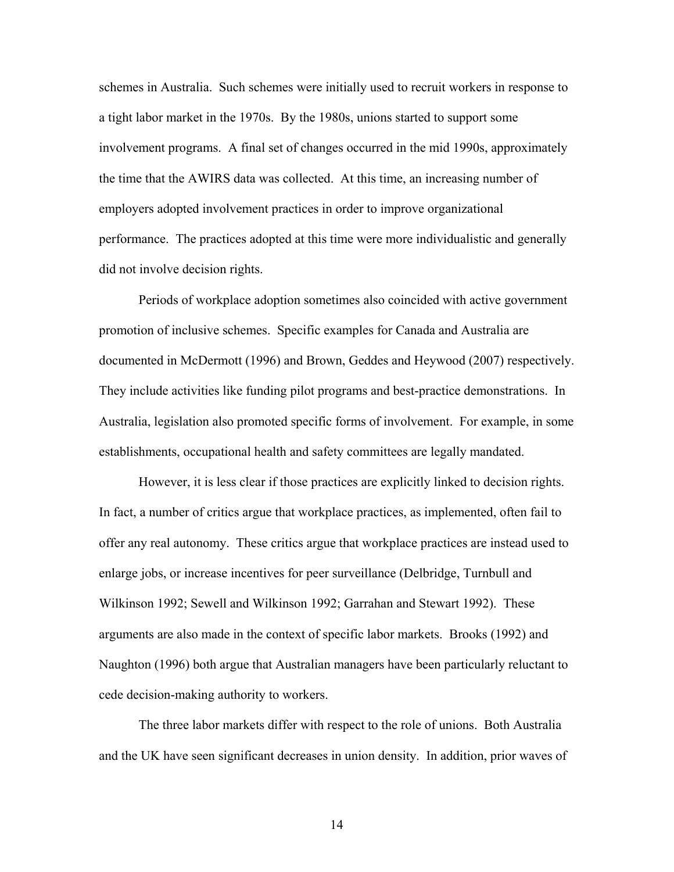schemes in Australia. Such schemes were initially used to recruit workers in response to a tight labor market in the 1970s. By the 1980s, unions started to support some involvement programs. A final set of changes occurred in the mid 1990s, approximately the time that the AWIRS data was collected. At this time, an increasing number of employers adopted involvement practices in order to improve organizational performance. The practices adopted at this time were more individualistic and generally did not involve decision rights.

Periods of workplace adoption sometimes also coincided with active government promotion of inclusive schemes. Specific examples for Canada and Australia are documented in McDermott (1996) and Brown, Geddes and Heywood (2007) respectively. They include activities like funding pilot programs and best-practice demonstrations. In Australia, legislation also promoted specific forms of involvement. For example, in some establishments, occupational health and safety committees are legally mandated.

However, it is less clear if those practices are explicitly linked to decision rights. In fact, a number of critics argue that workplace practices, as implemented, often fail to offer any real autonomy. These critics argue that workplace practices are instead used to enlarge jobs, or increase incentives for peer surveillance (Delbridge, Turnbull and Wilkinson 1992; Sewell and Wilkinson 1992; Garrahan and Stewart 1992).These arguments are also made in the context of specific labor markets. Brooks (1992) and Naughton (1996) both argue that Australian managers have been particularly reluctant to cede decision-making authority to workers.

The three labor markets differ with respect to the role of unions. Both Australia and the UK have seen significant decreases in union density. In addition, prior waves of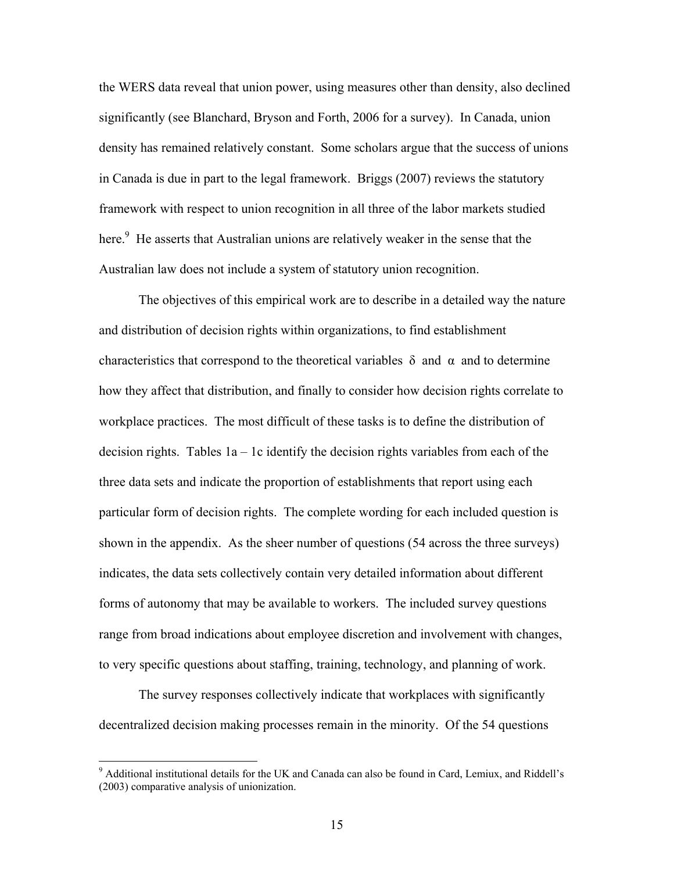the WERS data reveal that union power, using measures other than density, also declined significantly (see Blanchard, Bryson and Forth, 2006 for a survey). In Canada, union density has remained relatively constant. Some scholars argue that the success of unions in Canada is due in part to the legal framework. Briggs (2007) reviews the statutory framework with respect to union recognition in all three of the labor markets studied here.<sup>[9](#page-15-0)</sup> He asserts that Australian unions are relatively weaker in the sense that the Australian law does not include a system of statutory union recognition.

The objectives of this empirical work are to describe in a detailed way the nature and distribution of decision rights within organizations, to find establishment characteristics that correspond to the theoretical variables  $\delta$  and  $\alpha$  and to determine how they affect that distribution, and finally to consider how decision rights correlate to workplace practices. The most difficult of these tasks is to define the distribution of decision rights. Tables 1a – 1c identify the decision rights variables from each of the three data sets and indicate the proportion of establishments that report using each particular form of decision rights. The complete wording for each included question is shown in the appendix. As the sheer number of questions (54 across the three surveys) indicates, the data sets collectively contain very detailed information about different forms of autonomy that may be available to workers. The included survey questions range from broad indications about employee discretion and involvement with changes, to very specific questions about staffing, training, technology, and planning of work.

The survey responses collectively indicate that workplaces with significantly decentralized decision making processes remain in the minority. Of the 54 questions

<span id="page-15-0"></span><sup>-&</sup>lt;br>9 Additional institutional details for the UK and Canada can also be found in Card, Lemiux, and Riddell's (2003) comparative analysis of unionization.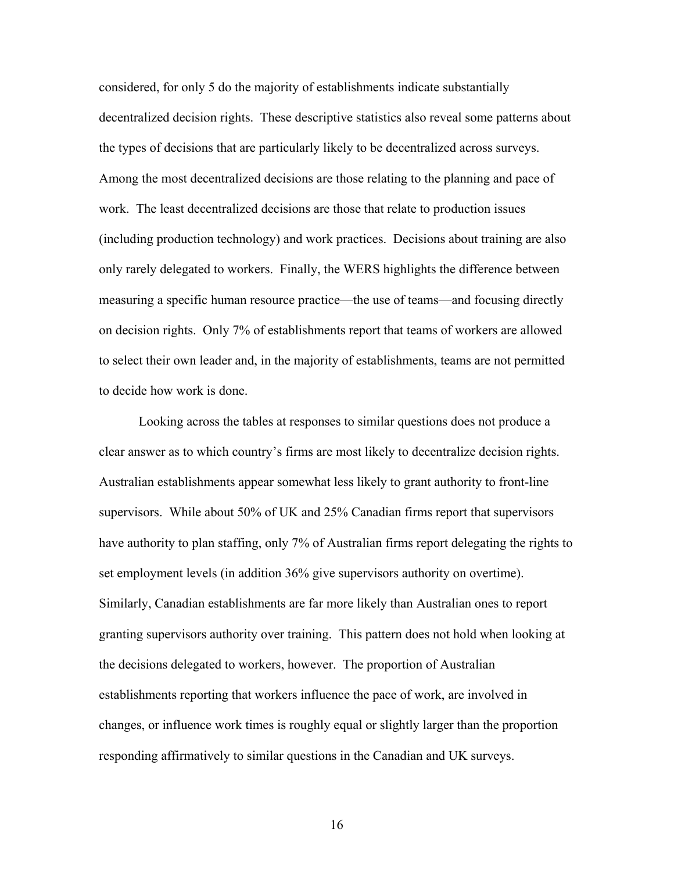considered, for only 5 do the majority of establishments indicate substantially decentralized decision rights. These descriptive statistics also reveal some patterns about the types of decisions that are particularly likely to be decentralized across surveys. Among the most decentralized decisions are those relating to the planning and pace of work. The least decentralized decisions are those that relate to production issues (including production technology) and work practices. Decisions about training are also only rarely delegated to workers. Finally, the WERS highlights the difference between measuring a specific human resource practice—the use of teams—and focusing directly on decision rights. Only 7% of establishments report that teams of workers are allowed to select their own leader and, in the majority of establishments, teams are not permitted to decide how work is done.

Looking across the tables at responses to similar questions does not produce a clear answer as to which country's firms are most likely to decentralize decision rights. Australian establishments appear somewhat less likely to grant authority to front-line supervisors. While about 50% of UK and 25% Canadian firms report that supervisors have authority to plan staffing, only 7% of Australian firms report delegating the rights to set employment levels (in addition 36% give supervisors authority on overtime). Similarly, Canadian establishments are far more likely than Australian ones to report granting supervisors authority over training. This pattern does not hold when looking at the decisions delegated to workers, however. The proportion of Australian establishments reporting that workers influence the pace of work, are involved in changes, or influence work times is roughly equal or slightly larger than the proportion responding affirmatively to similar questions in the Canadian and UK surveys.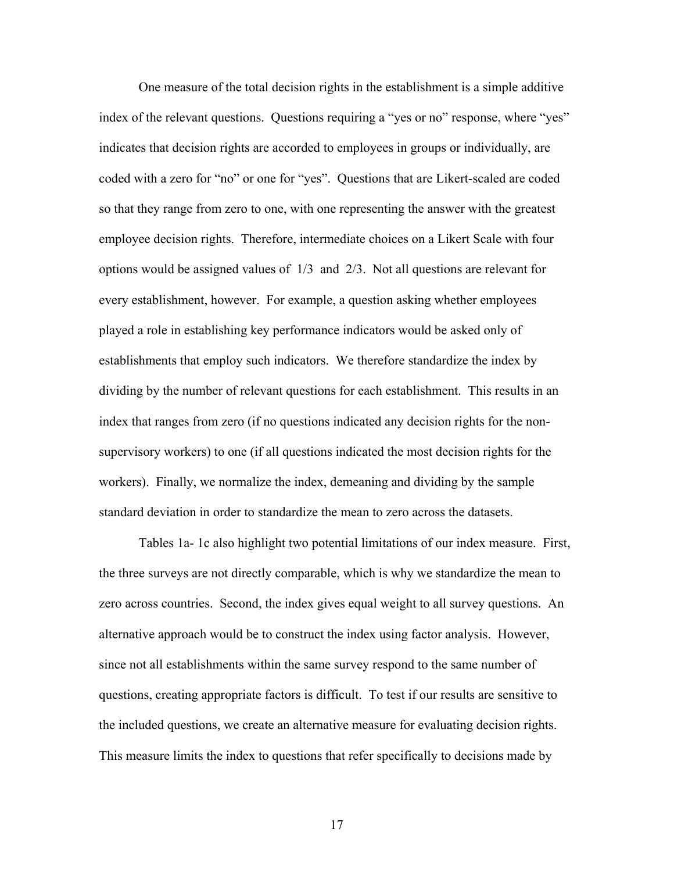One measure of the total decision rights in the establishment is a simple additive index of the relevant questions. Questions requiring a "yes or no" response, where "yes" indicates that decision rights are accorded to employees in groups or individually, are coded with a zero for "no" or one for "yes". Questions that are Likert-scaled are coded so that they range from zero to one, with one representing the answer with the greatest employee decision rights. Therefore, intermediate choices on a Likert Scale with four options would be assigned values of 1/3 and 2/3. Not all questions are relevant for every establishment, however. For example, a question asking whether employees played a role in establishing key performance indicators would be asked only of establishments that employ such indicators. We therefore standardize the index by dividing by the number of relevant questions for each establishment. This results in an index that ranges from zero (if no questions indicated any decision rights for the nonsupervisory workers) to one (if all questions indicated the most decision rights for the workers). Finally, we normalize the index, demeaning and dividing by the sample standard deviation in order to standardize the mean to zero across the datasets.

Tables 1a- 1c also highlight two potential limitations of our index measure. First, the three surveys are not directly comparable, which is why we standardize the mean to zero across countries. Second, the index gives equal weight to all survey questions. An alternative approach would be to construct the index using factor analysis. However, since not all establishments within the same survey respond to the same number of questions, creating appropriate factors is difficult. To test if our results are sensitive to the included questions, we create an alternative measure for evaluating decision rights. This measure limits the index to questions that refer specifically to decisions made by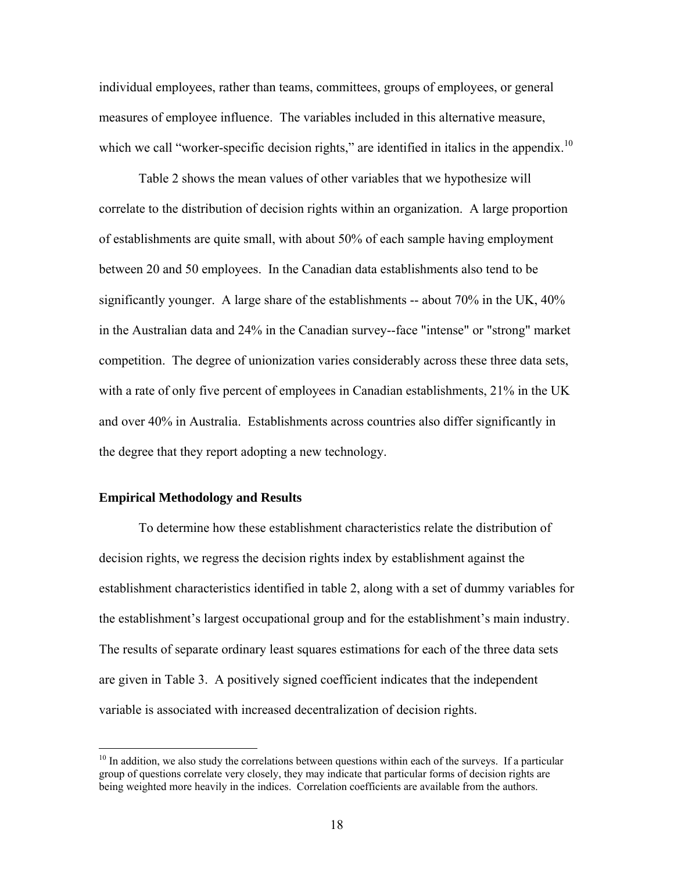individual employees, rather than teams, committees, groups of employees, or general measures of employee influence. The variables included in this alternative measure, which we call "worker-specific decision rights," are identified in italics in the appendix.<sup>10</sup>

Table 2 shows the mean values of other variables that we hypothesize will correlate to the distribution of decision rights within an organization. A large proportion of establishments are quite small, with about 50% of each sample having employment between 20 and 50 employees. In the Canadian data establishments also tend to be significantly younger. A large share of the establishments -- about 70% in the UK, 40% in the Australian data and 24% in the Canadian survey--face "intense" or "strong" market competition. The degree of unionization varies considerably across these three data sets, with a rate of only five percent of employees in Canadian establishments, 21% in the UK and over 40% in Australia. Establishments across countries also differ significantly in the degree that they report adopting a new technology.

#### **Empirical Methodology and Results**

To determine how these establishment characteristics relate the distribution of decision rights, we regress the decision rights index by establishment against the establishment characteristics identified in table 2, along with a set of dummy variables for the establishment's largest occupational group and for the establishment's main industry. The results of separate ordinary least squares estimations for each of the three data sets are given in Table 3. A positively signed coefficient indicates that the independent variable is associated with increased decentralization of decision rights.

<span id="page-18-0"></span><sup>&</sup>lt;sup>10</sup> In addition, we also study the correlations between questions within each of the surveys. If a particular group of questions correlate very closely, they may indicate that particular forms of decision rights are being weighted more heavily in the indices. Correlation coefficients are available from the authors.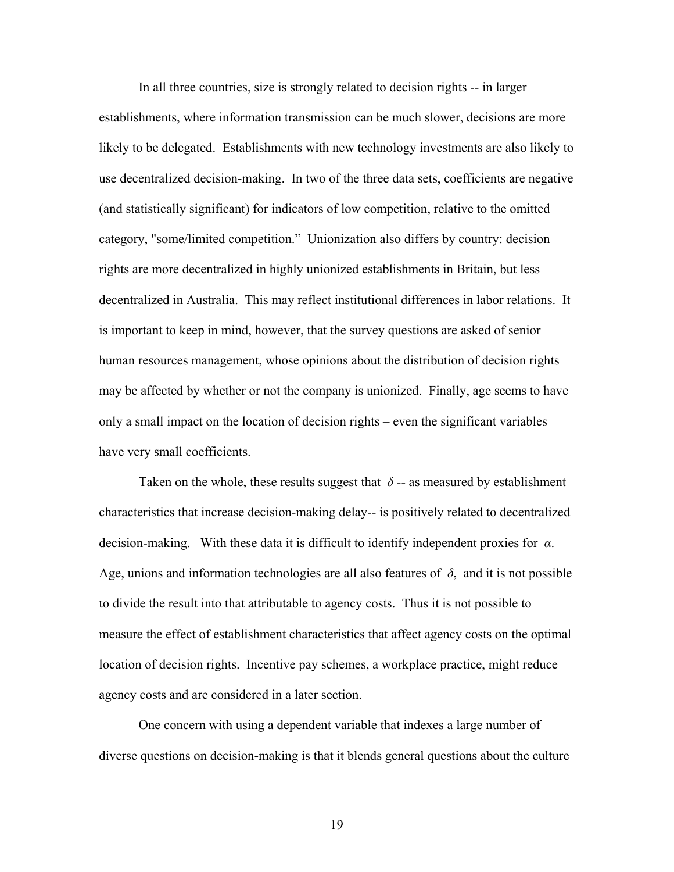In all three countries, size is strongly related to decision rights -- in larger establishments, where information transmission can be much slower, decisions are more likely to be delegated. Establishments with new technology investments are also likely to use decentralized decision-making. In two of the three data sets, coefficients are negative (and statistically significant) for indicators of low competition, relative to the omitted category, "some/limited competition." Unionization also differs by country: decision rights are more decentralized in highly unionized establishments in Britain, but less decentralized in Australia. This may reflect institutional differences in labor relations. It is important to keep in mind, however, that the survey questions are asked of senior human resources management, whose opinions about the distribution of decision rights may be affected by whether or not the company is unionized. Finally, age seems to have only a small impact on the location of decision rights – even the significant variables have very small coefficients.

Taken on the whole, these results suggest that  $\delta$  -- as measured by establishment characteristics that increase decision-making delay-- is positively related to decentralized decision-making. With these data it is difficult to identify independent proxies for *α*. Age, unions and information technologies are all also features of *δ*, and it is not possible to divide the result into that attributable to agency costs. Thus it is not possible to measure the effect of establishment characteristics that affect agency costs on the optimal location of decision rights. Incentive pay schemes, a workplace practice, might reduce agency costs and are considered in a later section.

One concern with using a dependent variable that indexes a large number of diverse questions on decision-making is that it blends general questions about the culture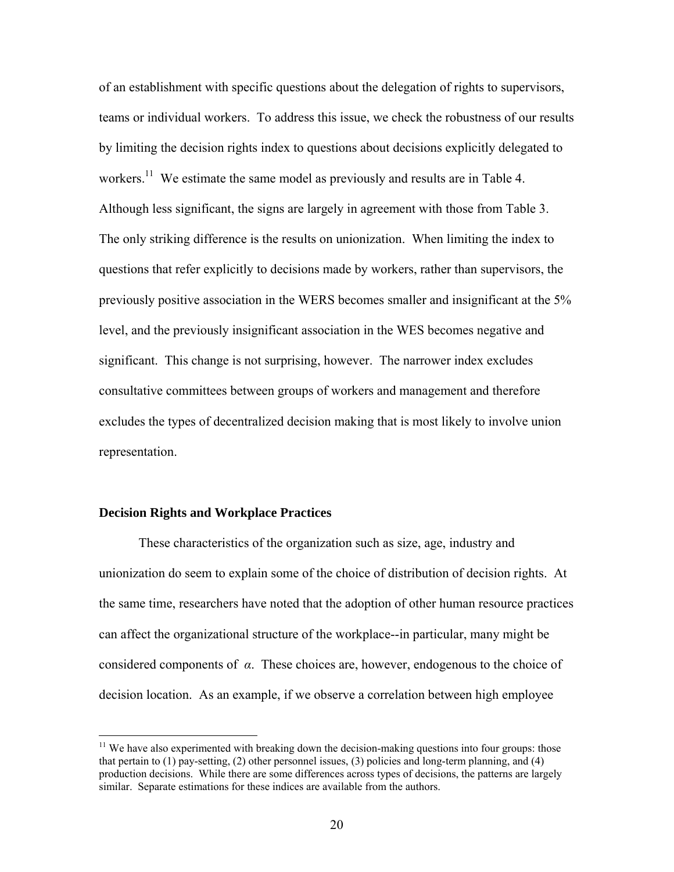of an establishment with specific questions about the delegation of rights to supervisors, teams or individual workers. To address this issue, we check the robustness of our results by limiting the decision rights index to questions about decisions explicitly delegated to workers.<sup>11</sup> We estimate the same model as previously and results are in Table 4. Although less significant, the signs are largely in agreement with those from Table 3. The only striking difference is the results on unionization. When limiting the index to questions that refer explicitly to decisions made by workers, rather than supervisors, the previously positive association in the WERS becomes smaller and insignificant at the 5% level, and the previously insignificant association in the WES becomes negative and significant. This change is not surprising, however. The narrower index excludes consultative committees between groups of workers and management and therefore excludes the types of decentralized decision making that is most likely to involve union representation.

#### **Decision Rights and Workplace Practices**

These characteristics of the organization such as size, age, industry and unionization do seem to explain some of the choice of distribution of decision rights. At the same time, researchers have noted that the adoption of other human resource practices can affect the organizational structure of the workplace--in particular, many might be considered components of *α*. These choices are, however, endogenous to the choice of decision location. As an example, if we observe a correlation between high employee

<span id="page-20-0"></span> $11$  We have also experimented with breaking down the decision-making questions into four groups: those that pertain to (1) pay-setting, (2) other personnel issues, (3) policies and long-term planning, and (4) production decisions. While there are some differences across types of decisions, the patterns are largely similar. Separate estimations for these indices are available from the authors.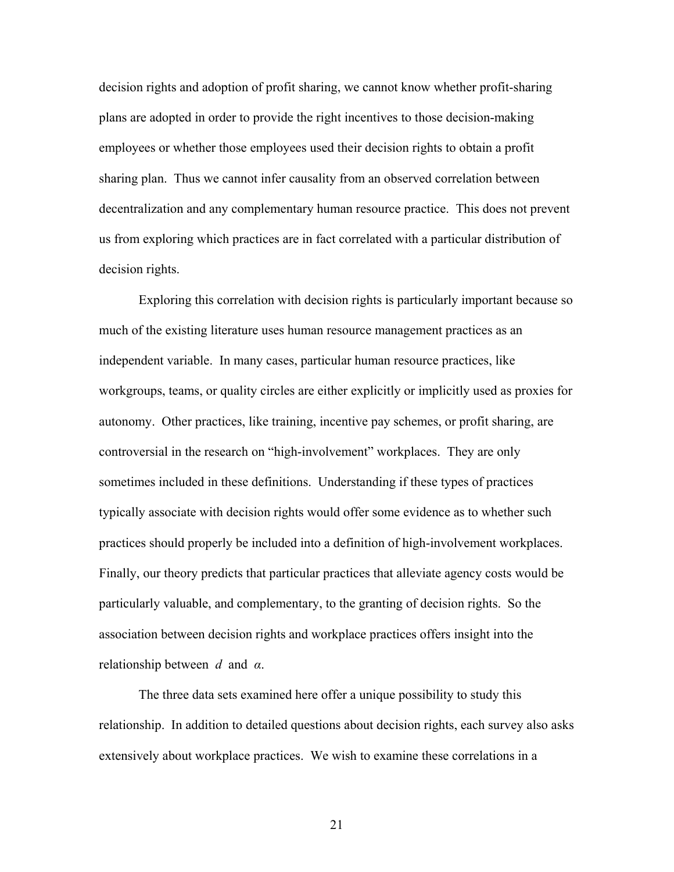decision rights and adoption of profit sharing, we cannot know whether profit-sharing plans are adopted in order to provide the right incentives to those decision-making employees or whether those employees used their decision rights to obtain a profit sharing plan. Thus we cannot infer causality from an observed correlation between decentralization and any complementary human resource practice. This does not prevent us from exploring which practices are in fact correlated with a particular distribution of decision rights.

 Exploring this correlation with decision rights is particularly important because so much of the existing literature uses human resource management practices as an independent variable. In many cases, particular human resource practices, like workgroups, teams, or quality circles are either explicitly or implicitly used as proxies for autonomy. Other practices, like training, incentive pay schemes, or profit sharing, are controversial in the research on "high-involvement" workplaces. They are only sometimes included in these definitions. Understanding if these types of practices typically associate with decision rights would offer some evidence as to whether such practices should properly be included into a definition of high-involvement workplaces. Finally, our theory predicts that particular practices that alleviate agency costs would be particularly valuable, and complementary, to the granting of decision rights. So the association between decision rights and workplace practices offers insight into the relationship between *d* and *α*.

The three data sets examined here offer a unique possibility to study this relationship. In addition to detailed questions about decision rights, each survey also asks extensively about workplace practices. We wish to examine these correlations in a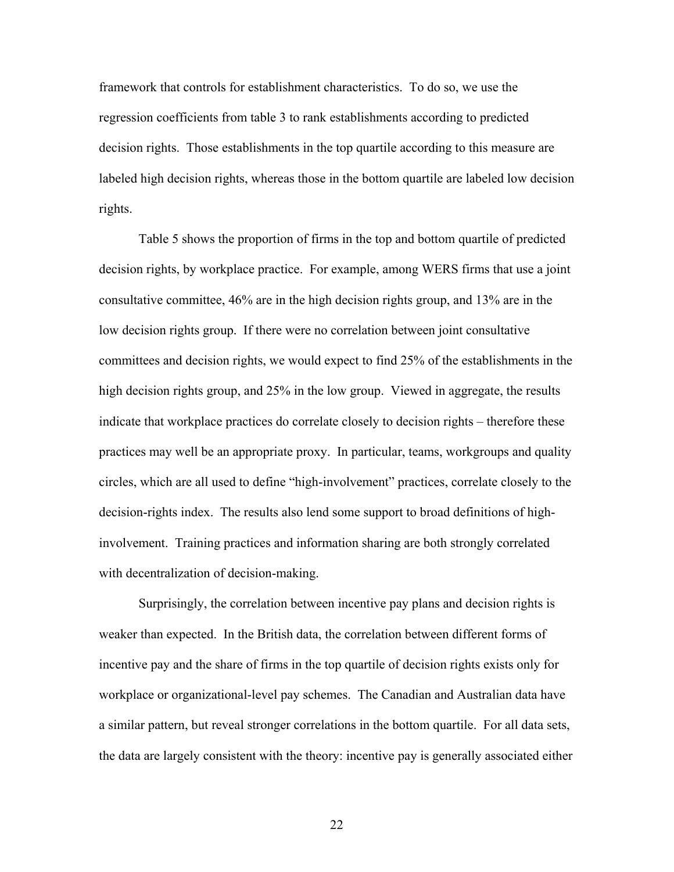framework that controls for establishment characteristics. To do so, we use the regression coefficients from table 3 to rank establishments according to predicted decision rights. Those establishments in the top quartile according to this measure are labeled high decision rights, whereas those in the bottom quartile are labeled low decision rights.

Table 5 shows the proportion of firms in the top and bottom quartile of predicted decision rights, by workplace practice. For example, among WERS firms that use a joint consultative committee, 46% are in the high decision rights group, and 13% are in the low decision rights group. If there were no correlation between joint consultative committees and decision rights, we would expect to find 25% of the establishments in the high decision rights group, and 25% in the low group. Viewed in aggregate, the results indicate that workplace practices do correlate closely to decision rights – therefore these practices may well be an appropriate proxy. In particular, teams, workgroups and quality circles, which are all used to define "high-involvement" practices, correlate closely to the decision-rights index. The results also lend some support to broad definitions of highinvolvement. Training practices and information sharing are both strongly correlated with decentralization of decision-making.

Surprisingly, the correlation between incentive pay plans and decision rights is weaker than expected. In the British data, the correlation between different forms of incentive pay and the share of firms in the top quartile of decision rights exists only for workplace or organizational-level pay schemes. The Canadian and Australian data have a similar pattern, but reveal stronger correlations in the bottom quartile. For all data sets, the data are largely consistent with the theory: incentive pay is generally associated either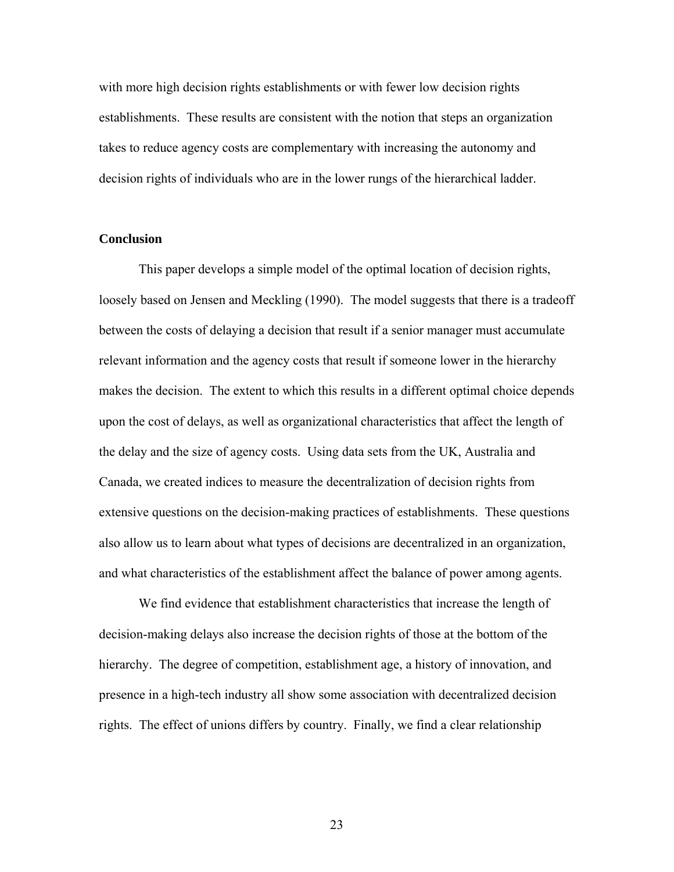with more high decision rights establishments or with fewer low decision rights establishments. These results are consistent with the notion that steps an organization takes to reduce agency costs are complementary with increasing the autonomy and decision rights of individuals who are in the lower rungs of the hierarchical ladder.

#### **Conclusion**

This paper develops a simple model of the optimal location of decision rights, loosely based on Jensen and Meckling (1990). The model suggests that there is a tradeoff between the costs of delaying a decision that result if a senior manager must accumulate relevant information and the agency costs that result if someone lower in the hierarchy makes the decision. The extent to which this results in a different optimal choice depends upon the cost of delays, as well as organizational characteristics that affect the length of the delay and the size of agency costs. Using data sets from the UK, Australia and Canada, we created indices to measure the decentralization of decision rights from extensive questions on the decision-making practices of establishments. These questions also allow us to learn about what types of decisions are decentralized in an organization, and what characteristics of the establishment affect the balance of power among agents.

We find evidence that establishment characteristics that increase the length of decision-making delays also increase the decision rights of those at the bottom of the hierarchy. The degree of competition, establishment age, a history of innovation, and presence in a high-tech industry all show some association with decentralized decision rights. The effect of unions differs by country. Finally, we find a clear relationship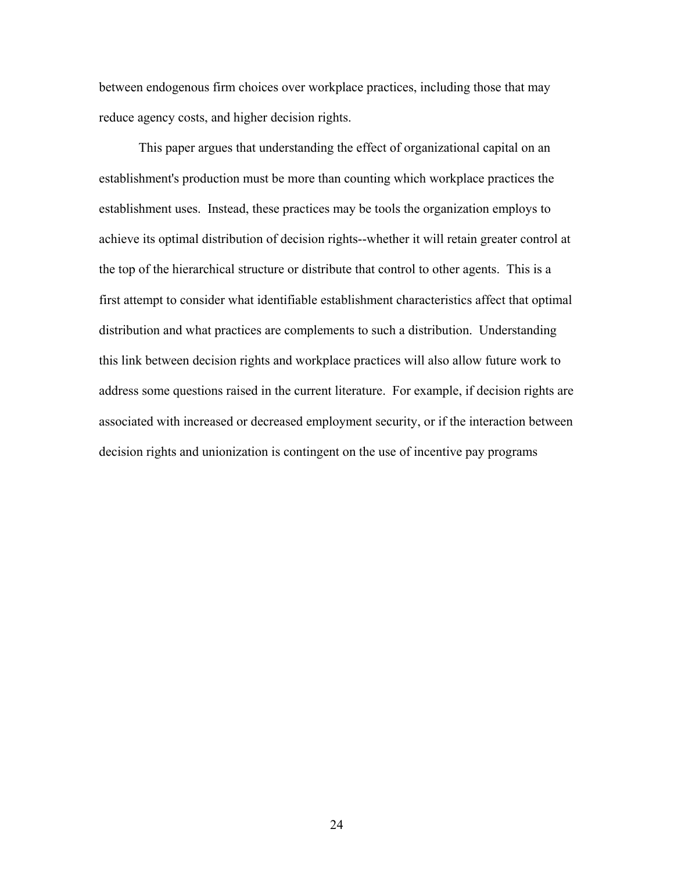between endogenous firm choices over workplace practices, including those that may reduce agency costs, and higher decision rights.

This paper argues that understanding the effect of organizational capital on an establishment's production must be more than counting which workplace practices the establishment uses. Instead, these practices may be tools the organization employs to achieve its optimal distribution of decision rights--whether it will retain greater control at the top of the hierarchical structure or distribute that control to other agents. This is a first attempt to consider what identifiable establishment characteristics affect that optimal distribution and what practices are complements to such a distribution. Understanding this link between decision rights and workplace practices will also allow future work to address some questions raised in the current literature. For example, if decision rights are associated with increased or decreased employment security, or if the interaction between decision rights and unionization is contingent on the use of incentive pay programs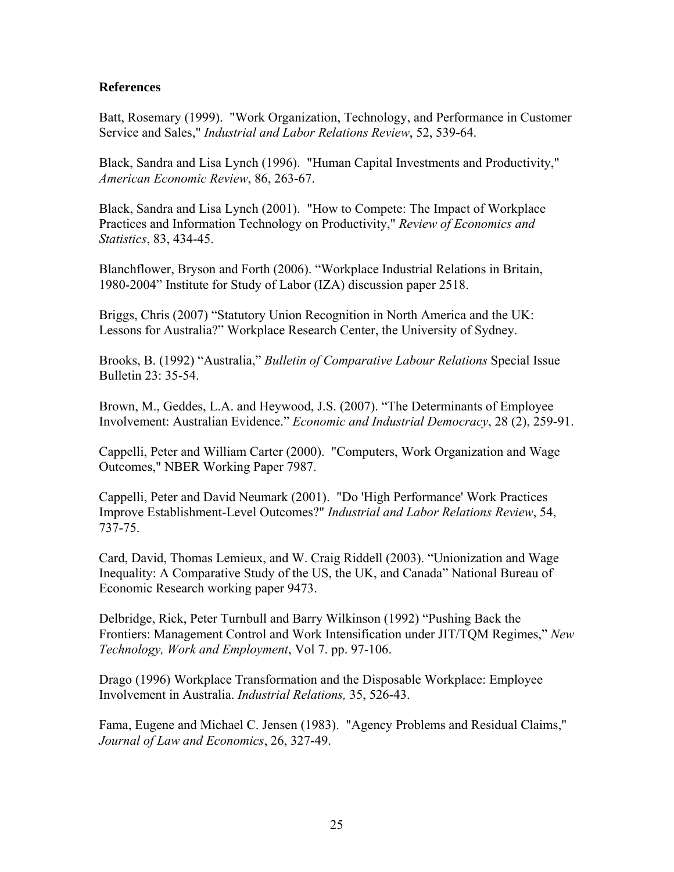### **References**

Batt, Rosemary (1999). "Work Organization, Technology, and Performance in Customer Service and Sales," *Industrial and Labor Relations Review*, 52, 539-64.

Black, Sandra and Lisa Lynch (1996). "Human Capital Investments and Productivity," *American Economic Review*, 86, 263-67.

Black, Sandra and Lisa Lynch (2001). "How to Compete: The Impact of Workplace Practices and Information Technology on Productivity," *Review of Economics and Statistics*, 83, 434-45.

Blanchflower, Bryson and Forth (2006). "Workplace Industrial Relations in Britain, 1980-2004" Institute for Study of Labor (IZA) discussion paper 2518.

Briggs, Chris (2007) "Statutory Union Recognition in North America and the UK: Lessons for Australia?" Workplace Research Center, the University of Sydney.

Brooks, B. (1992) "Australia," *Bulletin of Comparative Labour Relations* Special Issue Bulletin 23: 35-54.

Brown, M., Geddes, L.A. and Heywood, J.S. (2007). "The Determinants of Employee Involvement: Australian Evidence." *Economic and Industrial Democracy*, 28 (2), 259-91.

Cappelli, Peter and William Carter (2000). "Computers, Work Organization and Wage Outcomes," NBER Working Paper 7987.

Cappelli, Peter and David Neumark (2001). "Do 'High Performance' Work Practices Improve Establishment-Level Outcomes?" *Industrial and Labor Relations Review*, 54, 737-75.

Card, David, Thomas Lemieux, and W. Craig Riddell (2003). "Unionization and Wage Inequality: A Comparative Study of the US, the UK, and Canada" National Bureau of Economic Research working paper 9473.

Delbridge, Rick, Peter Turnbull and Barry Wilkinson (1992) "Pushing Back the Frontiers: Management Control and Work Intensification under JIT/TQM Regimes," *New Technology, Work and Employment*, Vol 7. pp. 97-106.

Drago (1996) Workplace Transformation and the Disposable Workplace: Employee Involvement in Australia. *Industrial Relations,* 35, 526-43.

Fama, Eugene and Michael C. Jensen (1983). "Agency Problems and Residual Claims," *Journal of Law and Economics*, 26, 327-49.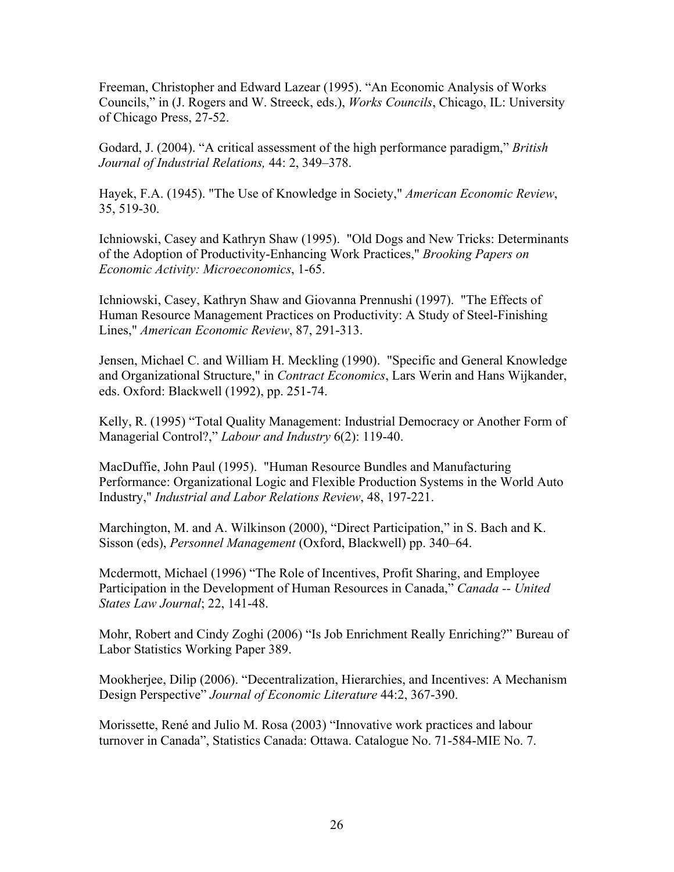Freeman, Christopher and Edward Lazear (1995). "An Economic Analysis of Works Councils," in (J. Rogers and W. Streeck, eds.), *Works Councils*, Chicago, IL: University of Chicago Press, 27-52.

Godard, J. (2004). "A critical assessment of the high performance paradigm," *British Journal of Industrial Relations,* 44: 2, 349–378.

Hayek, F.A. (1945). "The Use of Knowledge in Society," *American Economic Review*, 35, 519-30.

Ichniowski, Casey and Kathryn Shaw (1995). "Old Dogs and New Tricks: Determinants of the Adoption of Productivity-Enhancing Work Practices," *Brooking Papers on Economic Activity: Microeconomics*, 1-65.

Ichniowski, Casey, Kathryn Shaw and Giovanna Prennushi (1997). "The Effects of Human Resource Management Practices on Productivity: A Study of Steel-Finishing Lines," *American Economic Review*, 87, 291-313.

Jensen, Michael C. and William H. Meckling (1990). "Specific and General Knowledge and Organizational Structure," in *Contract Economics*, Lars Werin and Hans Wijkander, eds. Oxford: Blackwell (1992), pp. 251-74.

Kelly, R. (1995) "Total Quality Management: Industrial Democracy or Another Form of Managerial Control?," *Labour and Industry* 6(2): 119-40.

MacDuffie, John Paul (1995). "Human Resource Bundles and Manufacturing Performance: Organizational Logic and Flexible Production Systems in the World Auto Industry," *Industrial and Labor Relations Review*, 48, 197-221.

Marchington, M. and A. Wilkinson (2000), "Direct Participation," in S. Bach and K. Sisson (eds), *Personnel Management* (Oxford, Blackwell) pp. 340–64.

Mcdermott, Michael (1996) "The Role of Incentives, Profit Sharing, and Employee Participation in the Development of Human Resources in Canada," *Canada -- United States Law Journal*; 22, 141-48.

Mohr, Robert and Cindy Zoghi (2006) "Is Job Enrichment Really Enriching?" Bureau of Labor Statistics Working Paper 389.

Mookherjee, Dilip (2006). "Decentralization, Hierarchies, and Incentives: A Mechanism Design Perspective" *Journal of Economic Literature* 44:2, 367-390.

Morissette, René and Julio M. Rosa (2003) "Innovative work practices and labour turnover in Canada", Statistics Canada: Ottawa. Catalogue No. 71-584-MIE No. 7.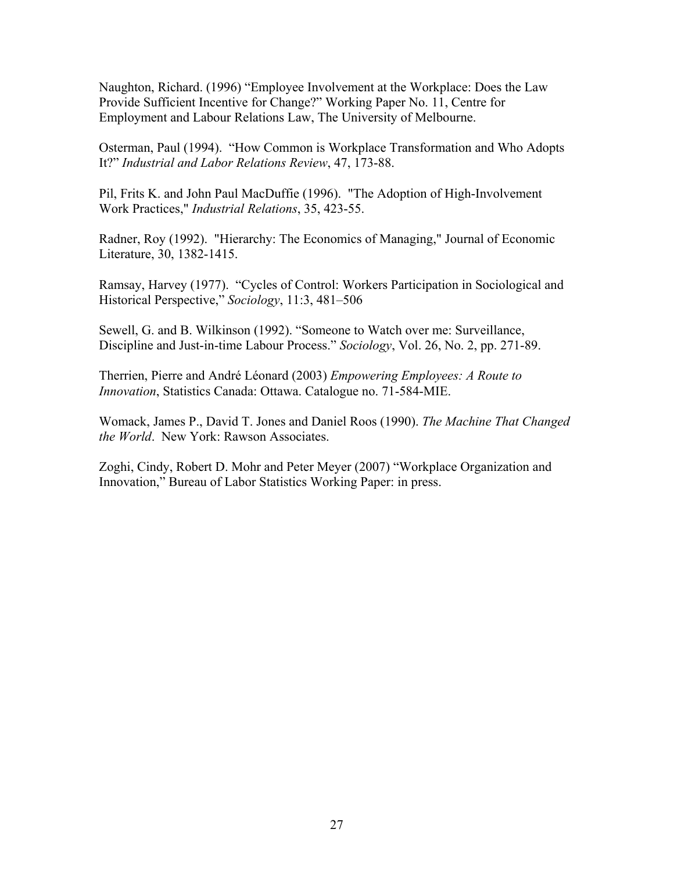Naughton, Richard. (1996) "Employee Involvement at the Workplace: Does the Law Provide Sufficient Incentive for Change?" Working Paper No. 11, Centre for Employment and Labour Relations Law, The University of Melbourne.

Osterman, Paul (1994). "How Common is Workplace Transformation and Who Adopts It?" *Industrial and Labor Relations Review*, 47, 173-88.

Pil, Frits K. and John Paul MacDuffie (1996). "The Adoption of High-Involvement Work Practices," *Industrial Relations*, 35, 423-55.

Radner, Roy (1992). "Hierarchy: The Economics of Managing," Journal of Economic Literature, 30, 1382-1415.

Ramsay, Harvey (1977). "Cycles of Control: Workers Participation in Sociological and Historical Perspective," *Sociology*, 11:3, 481–506

Sewell, G. and B. Wilkinson (1992). "Someone to Watch over me: Surveillance, Discipline and Just-in-time Labour Process." *Sociology*, Vol. 26, No. 2, pp. 271-89.

Therrien, Pierre and André Léonard (2003) *Empowering Employees: A Route to Innovation*, Statistics Canada: Ottawa. Catalogue no. 71-584-MIE.

Womack, James P., David T. Jones and Daniel Roos (1990). *The Machine That Changed the World*. New York: Rawson Associates.

Zoghi, Cindy, Robert D. Mohr and Peter Meyer (2007) "Workplace Organization and Innovation," Bureau of Labor Statistics Working Paper: in press.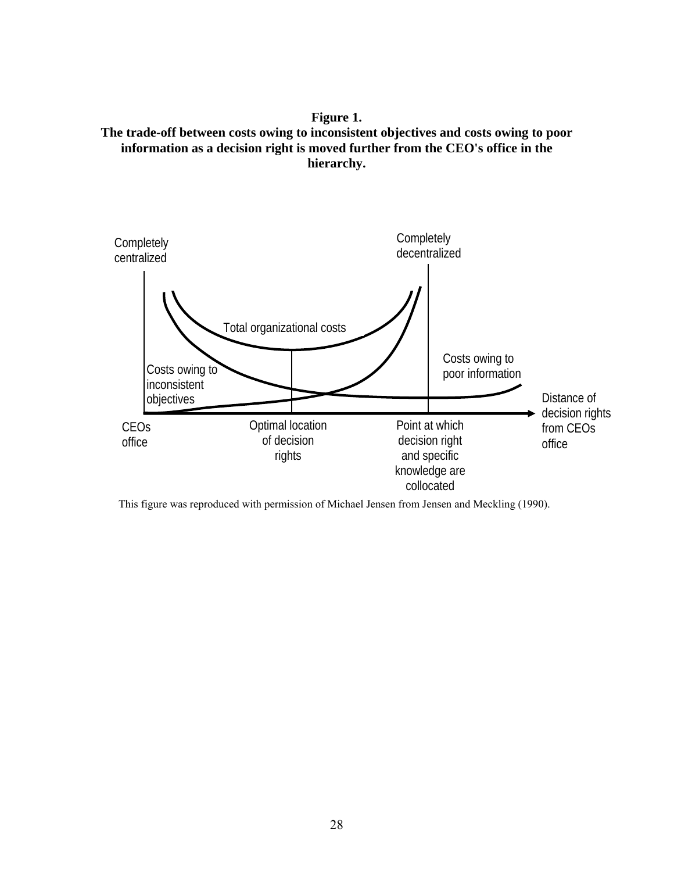**Figure 1. The trade-off between costs owing to inconsistent objectives and costs owing to poor information as a decision right is moved further from the CEO's office in the hierarchy.** 



This figure was reproduced with permission of Michael Jensen from Jensen and Meckling (1990).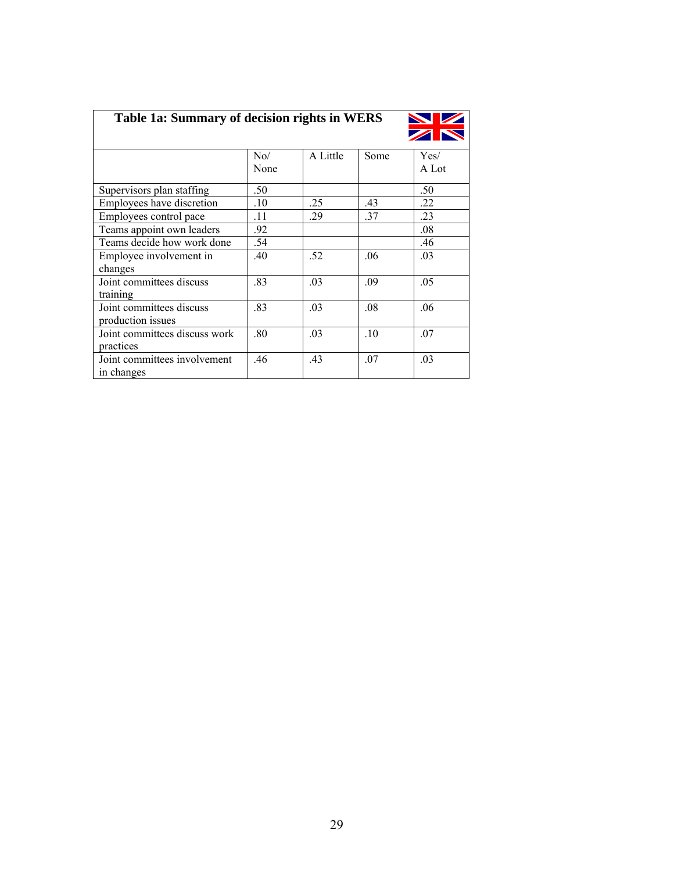| Table 1a: Summary of decision rights in WERS  |             |          |      | <b>NZ</b><br>ZN |
|-----------------------------------------------|-------------|----------|------|-----------------|
|                                               | No/<br>None | A Little | Some | Yes/<br>A Lot   |
| Supervisors plan staffing                     | .50         |          |      | .50             |
| Employees have discretion                     | .10         | .25      | .43  | .22             |
| Employees control pace                        | .11         | .29      | .37  | .23             |
| Teams appoint own leaders                     | .92         |          |      | .08             |
| Teams decide how work done                    | .54         |          |      | .46             |
| Employee involvement in<br>changes            | .40         | .52      | .06  | .03             |
| Joint committees discuss<br>training          | .83         | .03      | .09  | .05             |
| Joint committees discuss<br>production issues | .83         | .03      | .08  | .06             |
| Joint committees discuss work<br>practices    | .80         | .03      | .10  | .07             |
| Joint committees involvement<br>in changes    | .46         | .43      | .07  | .03             |

 $\mathbf{I}$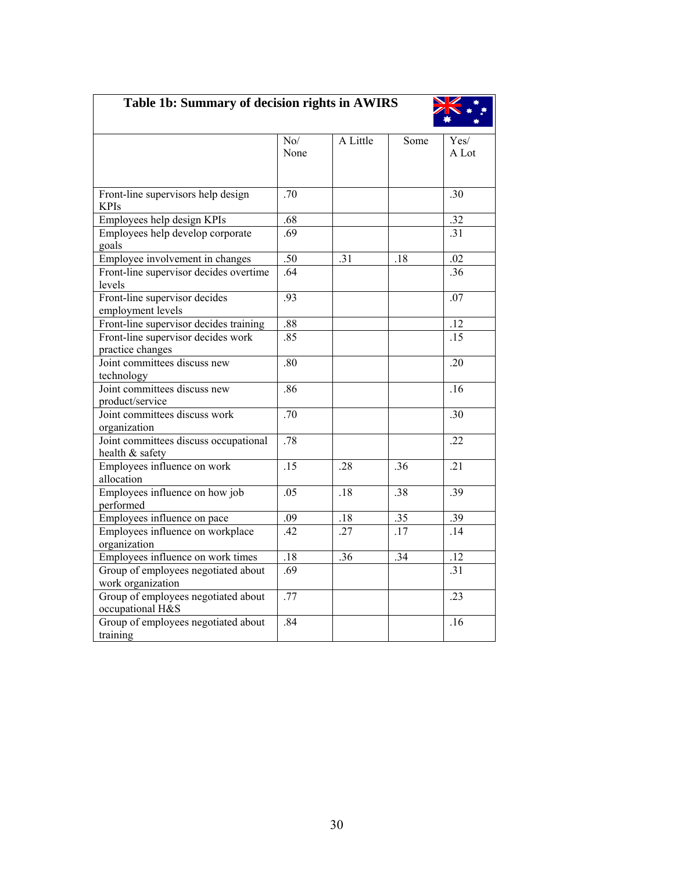| Table 1b: Summary of decision rights in AWIRS                                                 |                  |            |                  |                         |
|-----------------------------------------------------------------------------------------------|------------------|------------|------------------|-------------------------|
|                                                                                               | No/<br>None      | A Little   | Some             | Yes/<br>A Lot           |
| Front-line supervisors help design<br><b>KPIs</b>                                             | $\overline{.70}$ |            |                  | $\overline{.30}$        |
| Employees help design KPIs<br>Employees help develop corporate<br>goals                       | .68<br>.69       |            |                  | .32<br>.31              |
| Employee involvement in changes<br>Front-line supervisor decides overtime<br>levels           | .50<br>.64       | .31        | .18              | .02<br>.36              |
| Front-line supervisor decides<br>employment levels<br>Front-line supervisor decides training  | .93<br>.88       |            |                  | .07<br>.12              |
| Front-line supervisor decides work<br>practice changes                                        | .85              |            |                  | .15                     |
| Joint committees discuss new<br>technology<br>Joint committees discuss new                    | .80<br>.86       |            |                  | .20<br>.16              |
| product/service<br>Joint committees discuss work<br>organization                              | .70              |            |                  | .30                     |
| Joint committees discuss occupational<br>health & safety                                      | .78              |            |                  | .22                     |
| Employees influence on work<br>allocation                                                     | .15<br>.05       | .28<br>.18 | .36<br>.38       | .21<br>.39              |
| Employees influence on how job<br>performed<br>Employees influence on pace                    | .09              | .18        | $\overline{.35}$ | .39                     |
| Employees influence on workplace<br>organization                                              | .42              | .27        | $\overline{.17}$ | $\overline{.14}$        |
| Employees influence on work times<br>Group of employees negotiated about<br>work organization | .18<br>.69       | .36        | .34              | .12<br>$\overline{.31}$ |
| Group of employees negotiated about<br>occupational H&S                                       | .77              |            |                  | .23                     |
| Group of employees negotiated about<br>training                                               | .84              |            |                  | .16                     |

# **Table 1b: Summary of decision rights in AWIRS**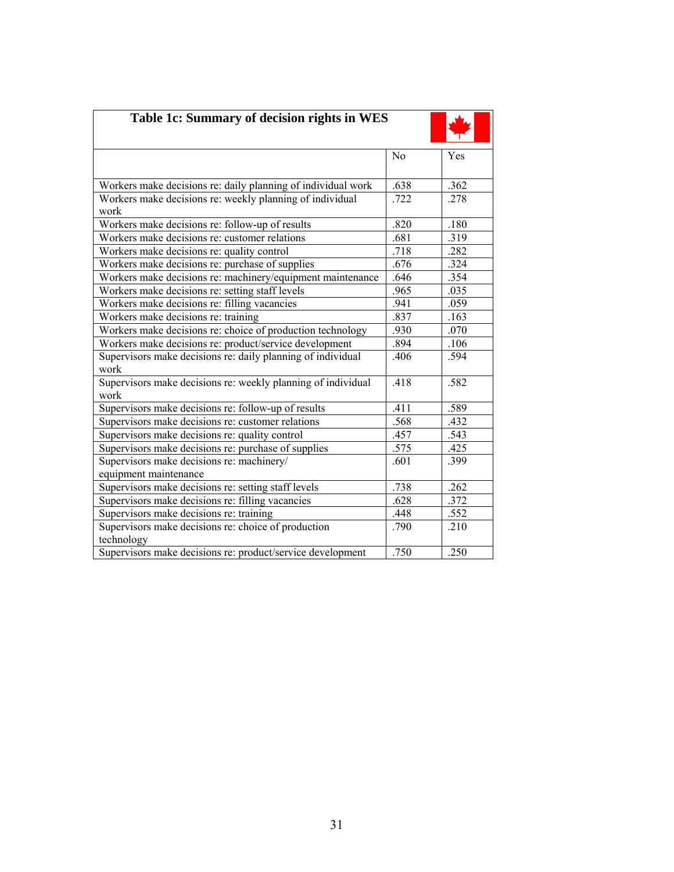| Table 1c: Summary of decision rights in WES                          |      |      |
|----------------------------------------------------------------------|------|------|
|                                                                      | No   | Yes  |
| Workers make decisions re: daily planning of individual work         | .638 | .362 |
| Workers make decisions re: weekly planning of individual<br>work     | .722 | .278 |
| Workers make decisions re: follow-up of results                      | .820 | .180 |
| Workers make decisions re: customer relations                        | .681 | .319 |
| Workers make decisions re: quality control                           | .718 | .282 |
| Workers make decisions re: purchase of supplies                      | .676 | .324 |
| Workers make decisions re: machinery/equipment maintenance           | .646 | .354 |
| Workers make decisions re: setting staff levels                      | .965 | .035 |
| Workers make decisions re: filling vacancies                         | .941 | .059 |
| Workers make decisions re: training                                  | .837 | .163 |
| Workers make decisions re: choice of production technology           | .930 | .070 |
| Workers make decisions re: product/service development               | .894 | .106 |
| Supervisors make decisions re: daily planning of individual<br>work  | .406 | .594 |
| Supervisors make decisions re: weekly planning of individual<br>work | .418 | .582 |
| Supervisors make decisions re: follow-up of results                  | .411 | .589 |
| Supervisors make decisions re: customer relations                    | .568 | .432 |
| Supervisors make decisions re: quality control                       | .457 | .543 |
| Supervisors make decisions re: purchase of supplies                  | .575 | .425 |
| Supervisors make decisions re: machinery/                            | .601 | .399 |
| equipment maintenance                                                |      |      |
| Supervisors make decisions re: setting staff levels                  | .738 | .262 |
| Supervisors make decisions re: filling vacancies                     | .628 | .372 |
| Supervisors make decisions re: training                              | .448 | .552 |
| Supervisors make decisions re: choice of production<br>technology    | .790 | .210 |
| Supervisors make decisions re: product/service development           | .750 | .250 |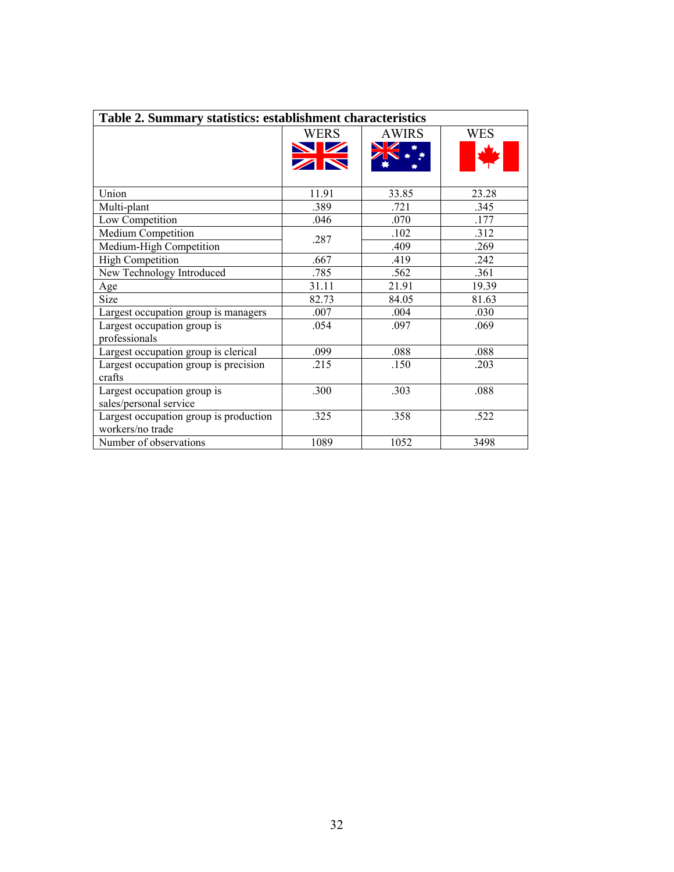| Table 2. Summary statistics: establishment characteristics |                                                       |              |       |  |  |
|------------------------------------------------------------|-------------------------------------------------------|--------------|-------|--|--|
|                                                            | <b>WERS</b>                                           | <b>AWIRS</b> | WES   |  |  |
|                                                            | NZ<br>$\overline{\mathbf{Z}}$ $\overline{\mathbf{N}}$ |              |       |  |  |
| Union                                                      | 11.91                                                 | 33.85        | 23.28 |  |  |
| Multi-plant                                                | .389                                                  | .721         | .345  |  |  |
| Low Competition                                            | .046                                                  | .070         | .177  |  |  |
| Medium Competition                                         | .287                                                  | .102         | .312  |  |  |
| Medium-High Competition                                    |                                                       | .409         | .269  |  |  |
| <b>High Competition</b>                                    | .667                                                  | .419         | .242  |  |  |
| New Technology Introduced                                  | .785                                                  | .562         | .361  |  |  |
| Age                                                        | 31.11                                                 | 21.91        | 19.39 |  |  |
| Size                                                       | 82.73                                                 | 84.05        | 81.63 |  |  |
| Largest occupation group is managers                       | .007                                                  | .004         | .030  |  |  |
| Largest occupation group is<br>professionals               | .054                                                  | .097         | .069  |  |  |
| Largest occupation group is clerical                       | .099                                                  | .088         | .088  |  |  |
| Largest occupation group is precision<br>crafts            | .215                                                  | .150         | .203  |  |  |
| Largest occupation group is<br>sales/personal service      | .300                                                  | .303         | .088  |  |  |
| Largest occupation group is production<br>workers/no trade | .325                                                  | .358         | .522  |  |  |
| Number of observations                                     | 1089                                                  | 1052         | 3498  |  |  |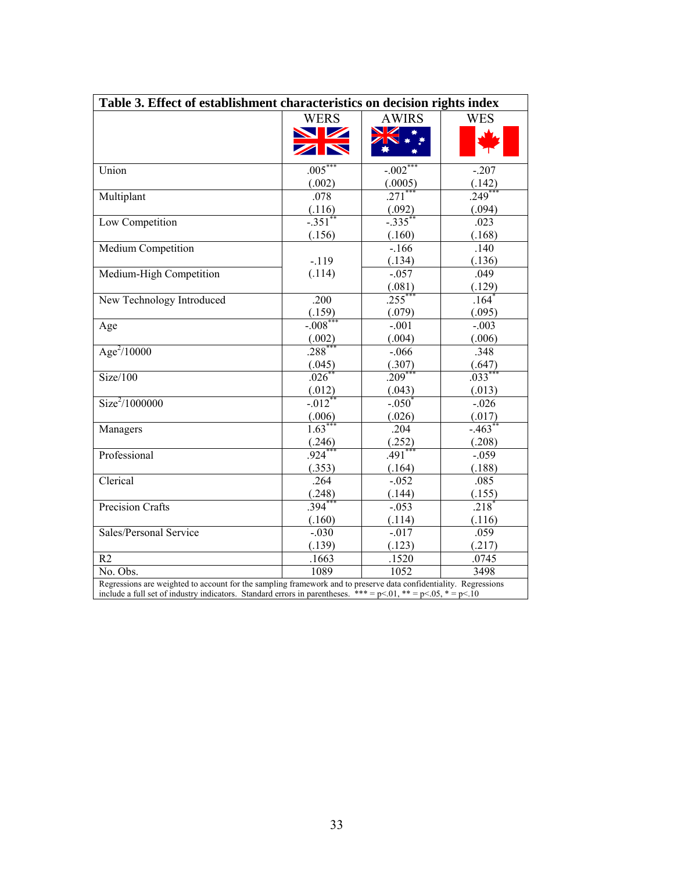| Table 3. Effect of establishment characteristics on decision rights index                                                                                                                                                                   |                        |                      |                      |  |
|---------------------------------------------------------------------------------------------------------------------------------------------------------------------------------------------------------------------------------------------|------------------------|----------------------|----------------------|--|
|                                                                                                                                                                                                                                             | <b>WERS</b>            | <b>AWIRS</b>         | <b>WES</b>           |  |
|                                                                                                                                                                                                                                             | NZ<br>ZIN              |                      |                      |  |
| Union                                                                                                                                                                                                                                       | $.005***$              | $-.002$ <sup>*</sup> | $-.207$              |  |
|                                                                                                                                                                                                                                             | (.002)                 | (.0005)              | (.142)               |  |
| Multiplant                                                                                                                                                                                                                                  | .078                   | $.271$ <sup>*</sup>  | .249°                |  |
|                                                                                                                                                                                                                                             | (.116)                 | (.092)               | (.094)               |  |
| Low Competition                                                                                                                                                                                                                             | $-.351$ <sup>*</sup>   | $-.335$ *            | .023                 |  |
|                                                                                                                                                                                                                                             | (.156)                 | (.160)               | (.168)               |  |
| <b>Medium Competition</b>                                                                                                                                                                                                                   |                        | $-166$               | .140                 |  |
|                                                                                                                                                                                                                                             | $-.119$                | (.134)               | (.136)               |  |
| Medium-High Competition                                                                                                                                                                                                                     | (.114)                 | $-.057$              | .049                 |  |
|                                                                                                                                                                                                                                             |                        | (.081)               | (.129)               |  |
| New Technology Introduced                                                                                                                                                                                                                   | .200                   | $.255***$            | $.164*$              |  |
|                                                                                                                                                                                                                                             | (.159)                 | (.079)               | (.095)               |  |
| Age                                                                                                                                                                                                                                         | $-.008***$             | $-.001$              | $-.003$              |  |
|                                                                                                                                                                                                                                             | (.002)                 | (.004)               | (.006)               |  |
| Age <sup>2</sup> /10000                                                                                                                                                                                                                     | $.288^{**}$            | $-.066$              | .348                 |  |
|                                                                                                                                                                                                                                             | (.045)<br>$.026*$      | (.307)               | (.647)               |  |
| Size/100                                                                                                                                                                                                                                    |                        | $.209***$            | $.033***$            |  |
| Size <sup>2</sup> /1000000                                                                                                                                                                                                                  | $\frac{(.012)}{-.012}$ | (.043)<br>$-.050*$   | (.013)<br>$-0.026$   |  |
|                                                                                                                                                                                                                                             | (.006)                 | (.026)               | (.017)               |  |
|                                                                                                                                                                                                                                             | $1.63$ <sup>**</sup>   | .204                 | $-.463$ <sup>*</sup> |  |
| Managers                                                                                                                                                                                                                                    | (.246)                 | (.252)               | (.208)               |  |
| Professional                                                                                                                                                                                                                                | $.924***$              | $.491***$            | $-.059$              |  |
|                                                                                                                                                                                                                                             | (.353)                 | (.164)               | (.188)               |  |
| Clerical                                                                                                                                                                                                                                    | .264                   | $-.052$              | .085                 |  |
|                                                                                                                                                                                                                                             | (.248)                 | (.144)               | (.155)               |  |
| Precision Crafts                                                                                                                                                                                                                            | $.394*$                | $-.053$              | $.218*$              |  |
|                                                                                                                                                                                                                                             | (.160)                 | (.114)               | (.116)               |  |
| Sales/Personal Service                                                                                                                                                                                                                      | $-.030$                | $-0.017$             | .059                 |  |
|                                                                                                                                                                                                                                             | (.139)                 | (.123)               | (.217)               |  |
| R2                                                                                                                                                                                                                                          | .1663                  | .1520                | .0745                |  |
| No. Obs.                                                                                                                                                                                                                                    | 1089                   | 1052                 | 3498                 |  |
| Regressions are weighted to account for the sampling framework and to preserve data confidentiality. Regressions<br>include a full set of industry indicators. Standard errors in parentheses. $** = p < 01$ , $** = p < 05$ , $* = p < 10$ |                        |                      |                      |  |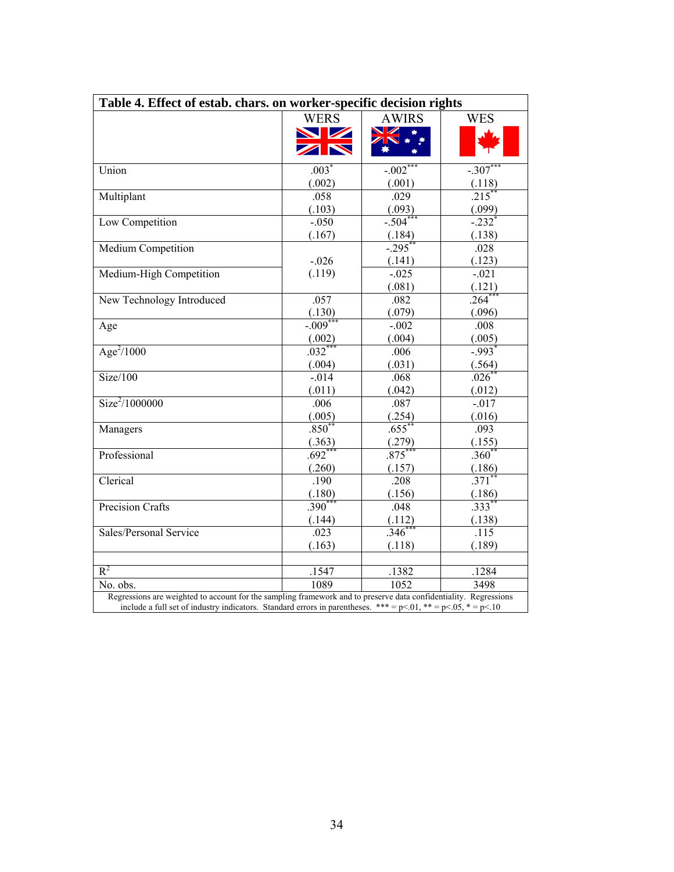|                                                                                                                                                                                                                                   | Table 4. Effect of estab. chars. on worker-specific decision rights |                       |                        |  |  |  |
|-----------------------------------------------------------------------------------------------------------------------------------------------------------------------------------------------------------------------------------|---------------------------------------------------------------------|-----------------------|------------------------|--|--|--|
|                                                                                                                                                                                                                                   | <b>WERS</b>                                                         | <b>AWIRS</b>          | <b>WES</b>             |  |  |  |
|                                                                                                                                                                                                                                   | NV Z                                                                | $\blacksquare$        |                        |  |  |  |
|                                                                                                                                                                                                                                   | $\times$                                                            |                       |                        |  |  |  |
|                                                                                                                                                                                                                                   |                                                                     |                       |                        |  |  |  |
| Union                                                                                                                                                                                                                             | $.003*$                                                             | $-.002***$            | $-.307***$             |  |  |  |
|                                                                                                                                                                                                                                   | (.002)                                                              | (.001)                | $\frac{(.118)}{.215}$  |  |  |  |
| Multiplant                                                                                                                                                                                                                        | .058                                                                | .029                  |                        |  |  |  |
|                                                                                                                                                                                                                                   | (.103)                                                              | (.093)                | $\frac{(.099)}{-.232}$ |  |  |  |
| Low Competition                                                                                                                                                                                                                   | $-.050$                                                             | $-.504***$            |                        |  |  |  |
|                                                                                                                                                                                                                                   | (.167)                                                              | (.184)                | (.138)                 |  |  |  |
| <b>Medium Competition</b>                                                                                                                                                                                                         |                                                                     | $-295$                | .028                   |  |  |  |
|                                                                                                                                                                                                                                   | $-0.026$                                                            | (.141)                | (.123)                 |  |  |  |
| Medium-High Competition                                                                                                                                                                                                           | (.119)                                                              | $-0.025$              | $-.021$                |  |  |  |
|                                                                                                                                                                                                                                   |                                                                     | (.081)                | (.121)                 |  |  |  |
| New Technology Introduced                                                                                                                                                                                                         | .057                                                                | .082                  | $.264***$              |  |  |  |
|                                                                                                                                                                                                                                   | (.130)                                                              | (.079)                | (.096)                 |  |  |  |
| Age                                                                                                                                                                                                                               | $-0.09$ <sup>*</sup>                                                | $-.002$               | .008                   |  |  |  |
|                                                                                                                                                                                                                                   | (.002)                                                              | (.004)                | (.005)                 |  |  |  |
| Age <sup>2</sup> /1000                                                                                                                                                                                                            | $.032$ <sup>*</sup>                                                 | .006                  | $-0.993$               |  |  |  |
|                                                                                                                                                                                                                                   | (.004)                                                              | (.031)                | (.564)                 |  |  |  |
| Size/100                                                                                                                                                                                                                          | $-0.014$                                                            | .068                  | $.026*$                |  |  |  |
|                                                                                                                                                                                                                                   | (.011)                                                              | (.042)                | (.012)                 |  |  |  |
| $Size^2/1000000$                                                                                                                                                                                                                  | .006                                                                | .087                  | $-0.017$               |  |  |  |
|                                                                                                                                                                                                                                   | (.005)                                                              | (.254)                | (.016)                 |  |  |  |
| Managers                                                                                                                                                                                                                          | $.850*$                                                             | $.655$ <sup>**</sup>  | .093                   |  |  |  |
|                                                                                                                                                                                                                                   | $\frac{(.363)}{.692}$                                               | $\frac{(.279)}{.875}$ | (.155)                 |  |  |  |
| Professional                                                                                                                                                                                                                      |                                                                     |                       | $.360^{**}$            |  |  |  |
|                                                                                                                                                                                                                                   | (.260)                                                              | (.157)                | (.186)                 |  |  |  |
| Clerical                                                                                                                                                                                                                          | .190                                                                | .208                  | $.371$ **              |  |  |  |
|                                                                                                                                                                                                                                   | (.180)                                                              | (.156)                | (.186)                 |  |  |  |
| Precision Crafts                                                                                                                                                                                                                  | $.390***$                                                           | .048                  | $.333***$              |  |  |  |
|                                                                                                                                                                                                                                   | (.144)                                                              | (.112)                | (.138)                 |  |  |  |
| Sales/Personal Service                                                                                                                                                                                                            | .023                                                                | $.346*$               | .115                   |  |  |  |
|                                                                                                                                                                                                                                   | (.163)                                                              | (.118)                | (.189)                 |  |  |  |
|                                                                                                                                                                                                                                   |                                                                     |                       |                        |  |  |  |
| $R^2$                                                                                                                                                                                                                             | .1547                                                               | .1382                 | .1284                  |  |  |  |
| No. obs.                                                                                                                                                                                                                          | 1089                                                                | 1052                  | 3498                   |  |  |  |
| Regressions are weighted to account for the sampling framework and to preserve data confidentiality. Regressions<br>include a full set of industry indicators. Standard errors in parentheses. *** = p<.01, ** = p<.05, * = p<.10 |                                                                     |                       |                        |  |  |  |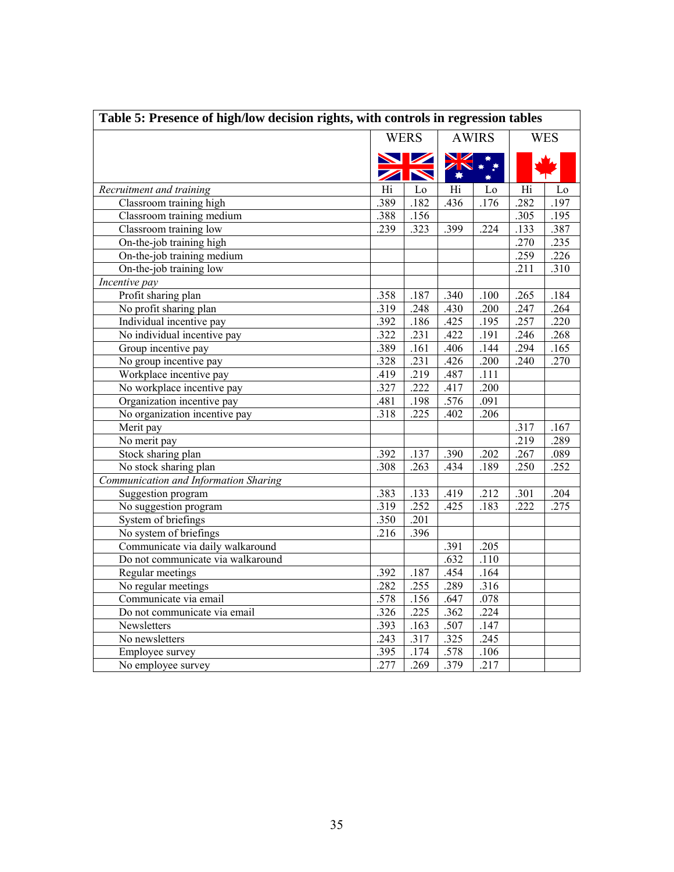| Table 5: Presence of high/low decision rights, with controls in regression tables |                                           |        |      |      |                  |                  |
|-----------------------------------------------------------------------------------|-------------------------------------------|--------|------|------|------------------|------------------|
|                                                                                   | <b>WERS</b><br><b>AWIRS</b><br><b>WES</b> |        |      |      |                  |                  |
|                                                                                   |                                           | Z<br>N |      |      |                  |                  |
| Recruitment and training                                                          | $\overline{Hi}$                           | Lo     | Hi   | Lo   | Hi               | Lo               |
| Classroom training high                                                           | .389                                      | .182   | .436 | .176 | 282              | .197             |
| Classroom training medium                                                         | .388                                      | .156   |      |      | .305             | .195             |
| Classroom training low                                                            | .239                                      | .323   | .399 | .224 | .133             | .387             |
| On-the-job training high                                                          |                                           |        |      |      | .270             | .235             |
| On-the-job training medium                                                        |                                           |        |      |      | .259             | .226             |
| On-the-job training low                                                           |                                           |        |      |      | .211             | .310             |
| Incentive pay                                                                     |                                           |        |      |      |                  |                  |
| Profit sharing plan                                                               | .358                                      | .187   | .340 | .100 | .265             | .184             |
| No profit sharing plan                                                            | .319                                      | .248   | .430 | .200 | .247             | .264             |
| Individual incentive pay                                                          | .392                                      | .186   | .425 | .195 | .257             | .220             |
| No individual incentive pay                                                       | .322                                      | .231   | .422 | .191 | .246             | .268             |
| Group incentive pay                                                               | .389                                      | .161   | .406 | .144 | .294             | .165             |
| No group incentive pay                                                            | .328                                      | .231   | .426 | .200 | .240             | .270             |
| Workplace incentive pay                                                           | .419                                      | .219   | .487 | .111 |                  |                  |
| No workplace incentive pay                                                        | .327                                      | .222   | .417 | .200 |                  |                  |
| Organization incentive pay                                                        | .481                                      | .198   | .576 | .091 |                  |                  |
| No organization incentive pay                                                     | .318                                      | .225   | .402 | .206 |                  |                  |
| Merit pay                                                                         |                                           |        |      |      | .317             | .167             |
| No merit pay                                                                      |                                           |        |      |      | .219             | .289             |
| Stock sharing plan                                                                | .392                                      | .137   | .390 | .202 | .267             | .089             |
| No stock sharing plan                                                             | .308                                      | .263   | .434 | .189 | .250             | .252             |
| Communication and Information Sharing                                             |                                           |        |      |      |                  |                  |
| Suggestion program                                                                | .383                                      | .133   | .419 | .212 | .301             | .204             |
| No suggestion program                                                             | .319                                      | .252   | .425 | .183 | $\overline{222}$ | $\overline{275}$ |
| System of briefings                                                               | .350                                      | .201   |      |      |                  |                  |
| No system of briefings                                                            | $\overline{.2}16$                         | .396   |      |      |                  |                  |
| Communicate via daily walkaround                                                  |                                           |        | .391 | .205 |                  |                  |
| Do not communicate via walkaround                                                 |                                           |        | .632 | .110 |                  |                  |
| Regular meetings                                                                  | .392                                      | .187   | .454 | .164 |                  |                  |
| No regular meetings                                                               | .282                                      | .255   | .289 | .316 |                  |                  |
| Communicate via email                                                             | .578                                      | .156   | .647 | .078 |                  |                  |
| Do not communicate via email                                                      | .326                                      | .225   | .362 | .224 |                  |                  |
| Newsletters                                                                       | .393                                      | .163   | .507 | .147 |                  |                  |
| No newsletters                                                                    | .243                                      | .317   | .325 | .245 |                  |                  |
| Employee survey                                                                   | .395                                      | .174   | .578 | .106 |                  |                  |
| No employee survey                                                                | .277                                      | .269   | .379 | .217 |                  |                  |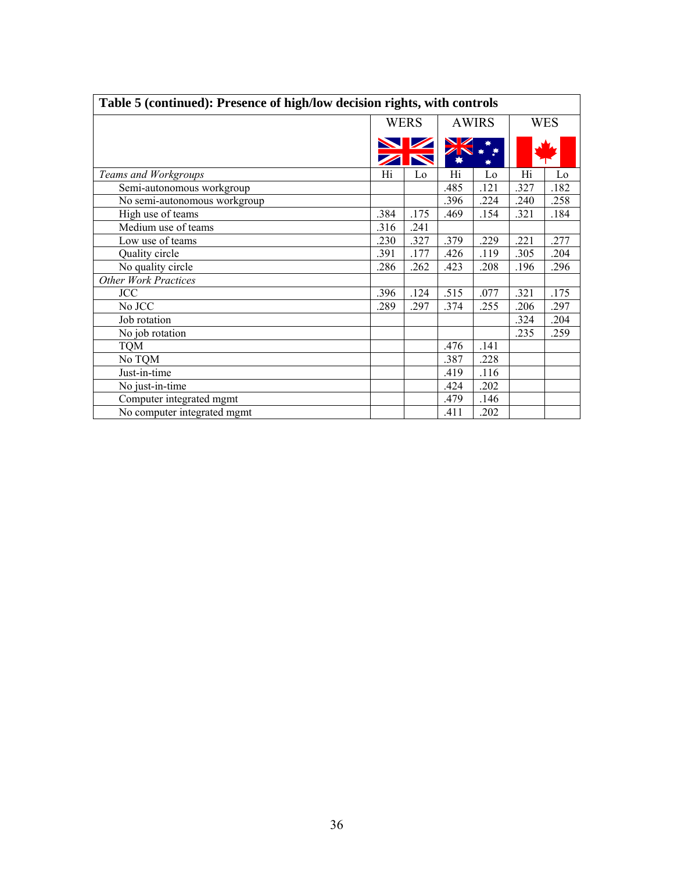| Table 5 (continued): Presence of high/low decision rights, with controls |                                           |      |      |      |      |      |
|--------------------------------------------------------------------------|-------------------------------------------|------|------|------|------|------|
|                                                                          | <b>WERS</b><br><b>AWIRS</b><br><b>WES</b> |      |      |      |      |      |
|                                                                          |                                           |      |      |      |      |      |
| Teams and Workgroups                                                     | Hi                                        | Lo   | Hi   | Lo   | Hi   | Lo   |
| Semi-autonomous workgroup                                                |                                           |      | .485 | .121 | .327 | .182 |
| No semi-autonomous workgroup                                             |                                           |      | .396 | .224 | .240 | .258 |
| High use of teams                                                        | .384                                      | .175 | .469 | .154 | .321 | .184 |
| Medium use of teams                                                      | .316                                      | .241 |      |      |      |      |
| Low use of teams                                                         | .230                                      | .327 | .379 | .229 | .221 | .277 |
| Quality circle                                                           | .391                                      | .177 | .426 | .119 | .305 | .204 |
| No quality circle                                                        | .286                                      | .262 | .423 | .208 | .196 | .296 |
| <b>Other Work Practices</b>                                              |                                           |      |      |      |      |      |
| <b>JCC</b>                                                               | .396                                      | .124 | .515 | .077 | .321 | .175 |
| No JCC                                                                   | .289                                      | .297 | .374 | .255 | .206 | .297 |
| Job rotation                                                             |                                           |      |      |      | .324 | .204 |
| No job rotation                                                          |                                           |      |      |      | .235 | .259 |
| <b>TQM</b>                                                               |                                           |      | .476 | .141 |      |      |
| No TQM                                                                   |                                           |      | .387 | .228 |      |      |
| Just-in-time                                                             |                                           |      | .419 | .116 |      |      |
| No just-in-time                                                          |                                           |      | .424 | .202 |      |      |
| Computer integrated mgmt                                                 |                                           |      | .479 | .146 |      |      |
| No computer integrated mgmt                                              |                                           |      | .411 | .202 |      |      |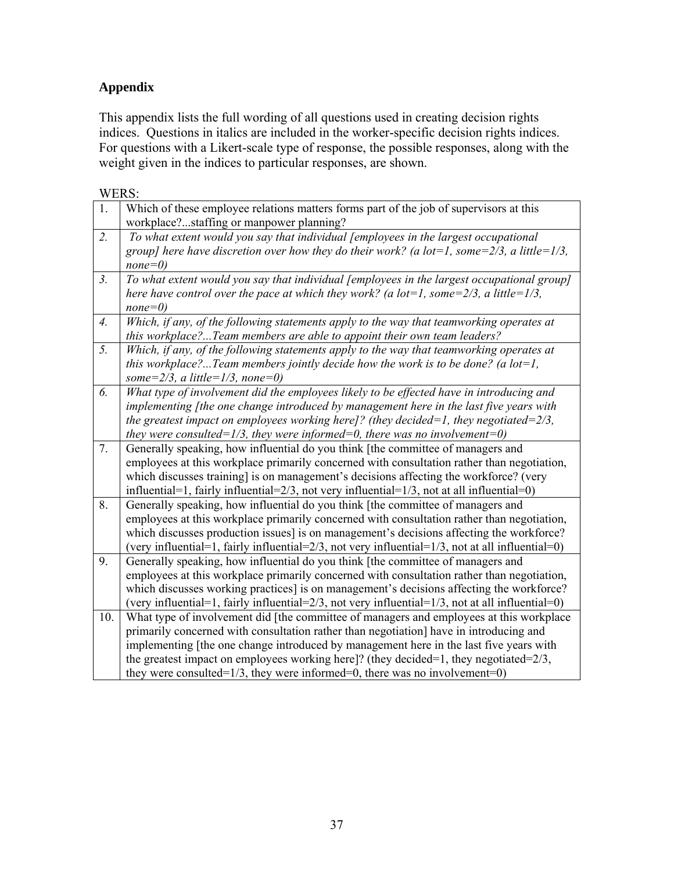### **Appendix**

This appendix lists the full wording of all questions used in creating decision rights indices. Questions in italics are included in the worker-specific decision rights indices. For questions with a Likert-scale type of response, the possible responses, along with the weight given in the indices to particular responses, are shown.

| '' LIV           |                                                                                                                                                                                                                                                                                                                                                                                                                                                            |
|------------------|------------------------------------------------------------------------------------------------------------------------------------------------------------------------------------------------------------------------------------------------------------------------------------------------------------------------------------------------------------------------------------------------------------------------------------------------------------|
| 1.               | Which of these employee relations matters forms part of the job of supervisors at this<br>workplace?staffing or manpower planning?                                                                                                                                                                                                                                                                                                                         |
| 2.               | To what extent would you say that individual [employees in the largest occupational<br>group] here have discretion over how they do their work? (a lot=1, some= $2/3$ , a little= $1/3$ ,<br>$none=0$ )                                                                                                                                                                                                                                                    |
| $\mathfrak{Z}$ . | To what extent would you say that individual [employees in the largest occupational group]<br>here have control over the pace at which they work? (a lot=1, some=2/3, a little=1/3,<br>$none=0$ )                                                                                                                                                                                                                                                          |
| $\overline{4}$ . | Which, if any, of the following statements apply to the way that teamworking operates at<br>this workplace?Team members are able to appoint their own team leaders?                                                                                                                                                                                                                                                                                        |
| $\overline{5}$ . | Which, if any, of the following statements apply to the way that teamworking operates at<br>this workplace?Team members jointly decide how the work is to be done? (a lot=1,<br>some= $2/3$ , a little= $1/3$ , none=0)                                                                                                                                                                                                                                    |
| 6.               | What type of involvement did the employees likely to be effected have in introducing and<br>implementing [the one change introduced by management here in the last five years with<br>the greatest impact on employees working here]? (they decided=1, they negotiated= $2/3$ ,<br>they were consulted= $1/3$ , they were informed=0, there was no involvement=0)                                                                                          |
| 7.               | Generally speaking, how influential do you think [the committee of managers and<br>employees at this workplace primarily concerned with consultation rather than negotiation,<br>which discusses training] is on management's decisions affecting the workforce? (very<br>influential=1, fairly influential= $2/3$ , not very influential= $1/3$ , not at all influential=0)                                                                               |
| 8.               | Generally speaking, how influential do you think [the committee of managers and<br>employees at this workplace primarily concerned with consultation rather than negotiation,<br>which discusses production issues] is on management's decisions affecting the workforce?<br>(very influential=1, fairly influential=2/3, not very influential=1/3, not at all influential=0)                                                                              |
| 9.               | Generally speaking, how influential do you think [the committee of managers and<br>employees at this workplace primarily concerned with consultation rather than negotiation,<br>which discusses working practices] is on management's decisions affecting the workforce?<br>(very influential=1, fairly influential= $2/3$ , not very influential= $1/3$ , not at all influential=0)                                                                      |
| 10.              | What type of involvement did [the committee of managers and employees at this workplace<br>primarily concerned with consultation rather than negotiation] have in introducing and<br>implementing [the one change introduced by management here in the last five years with<br>the greatest impact on employees working here]? (they decided=1, they negotiated= $2/3$ ,<br>they were consulted= $1/3$ , they were informed=0, there was no involvement=0) |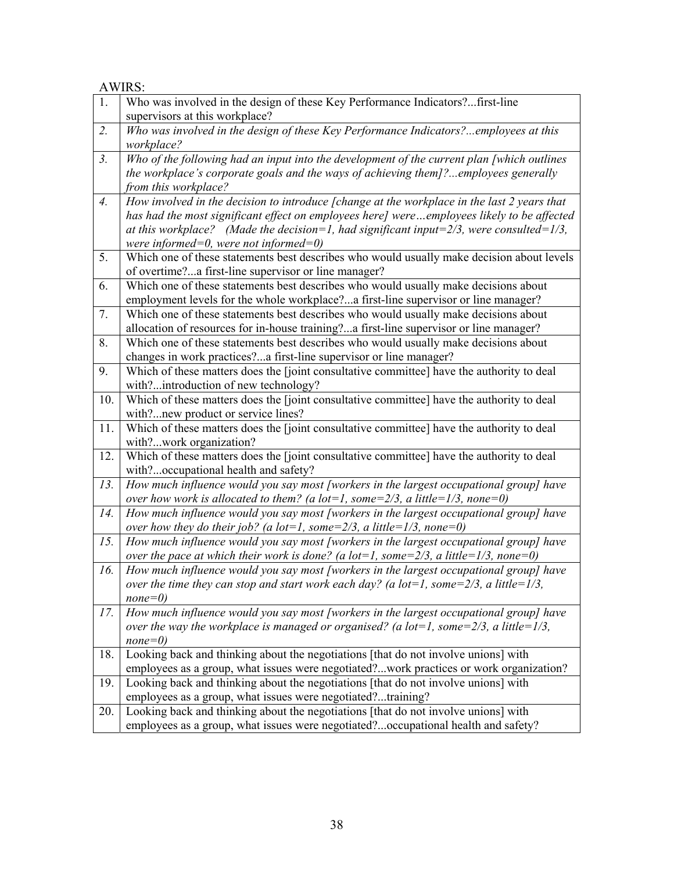### AWIRS:

| 1.              | Who was involved in the design of these Key Performance Indicators?first-line                       |
|-----------------|-----------------------------------------------------------------------------------------------------|
|                 | supervisors at this workplace?                                                                      |
| 2.              | Who was involved in the design of these Key Performance Indicators?employees at this                |
|                 | workplace?                                                                                          |
| 3.              | Who of the following had an input into the development of the current plan [which outlines          |
|                 | the workplace's corporate goals and the ways of achieving them]?employees generally                 |
|                 | from this workplace?                                                                                |
| $\mathcal{A}$ . | How involved in the decision to introduce [change at the workplace in the last 2 years that         |
|                 | has had the most significant effect on employees here] wereemployees likely to be affected          |
|                 | at this workplace? (Made the decision=1, had significant input= $2/3$ , were consulted= $1/3$ ,     |
|                 | were informed=0, were not informed=0)                                                               |
| 5.              | Which one of these statements best describes who would usually make decision about levels           |
|                 | of overtime?a first-line supervisor or line manager?                                                |
| 6.              | Which one of these statements best describes who would usually make decisions about                 |
|                 | employment levels for the whole workplace?a first-line supervisor or line manager?                  |
| 7.              | Which one of these statements best describes who would usually make decisions about                 |
|                 | allocation of resources for in-house training?a first-line supervisor or line manager?              |
| 8.              | Which one of these statements best describes who would usually make decisions about                 |
|                 | changes in work practices?a first-line supervisor or line manager?                                  |
| 9.              | Which of these matters does the [joint consultative committee] have the authority to deal           |
|                 | with?introduction of new technology?                                                                |
| 10.             | Which of these matters does the [joint consultative committee] have the authority to deal           |
|                 | with?new product or service lines?                                                                  |
| 11.             | Which of these matters does the [joint consultative committee] have the authority to deal           |
|                 | with?work organization?                                                                             |
| 12.             | Which of these matters does the [joint consultative committee] have the authority to deal           |
|                 | with?occupational health and safety?                                                                |
| 13.             | How much influence would you say most [workers in the largest occupational group] have              |
|                 | over how work is allocated to them? (a lot=1, some= $2/3$ , a little= $1/3$ , none=0)               |
| 14.             | How much influence would you say most [workers in the largest occupational group] have              |
|                 | over how they do their job? (a lot=1, some= $2/3$ , a little= $1/3$ , none=0)                       |
| 15.             | How much influence would you say most [workers in the largest occupational group] have              |
|                 | over the pace at which their work is done? (a lot=1, some=2/3, a little=1/3, none=0)                |
| 16.             | How much influence would you say most [workers in the largest occupational group] have              |
|                 | over the time they can stop and start work each day? (a lot=1, some=2/3, a little=1/3<br>$none=0$ ) |
| 17.             | How much influence would you say most [workers in the largest occupational group] have              |
|                 | over the way the workplace is managed or organised? (a lot=1, some= $2/3$ , a little= $1/3$ ,       |
|                 | $none=0$ )                                                                                          |
| 18.             | Looking back and thinking about the negotiations [that do not involve unions] with                  |
|                 | employees as a group, what issues were negotiated?work practices or work organization?              |
| 19.             | Looking back and thinking about the negotiations [that do not involve unions] with                  |
|                 | employees as a group, what issues were negotiated?training?                                         |
| 20.             | Looking back and thinking about the negotiations [that do not involve unions] with                  |
|                 | employees as a group, what issues were negotiated?occupational health and safety?                   |
|                 |                                                                                                     |